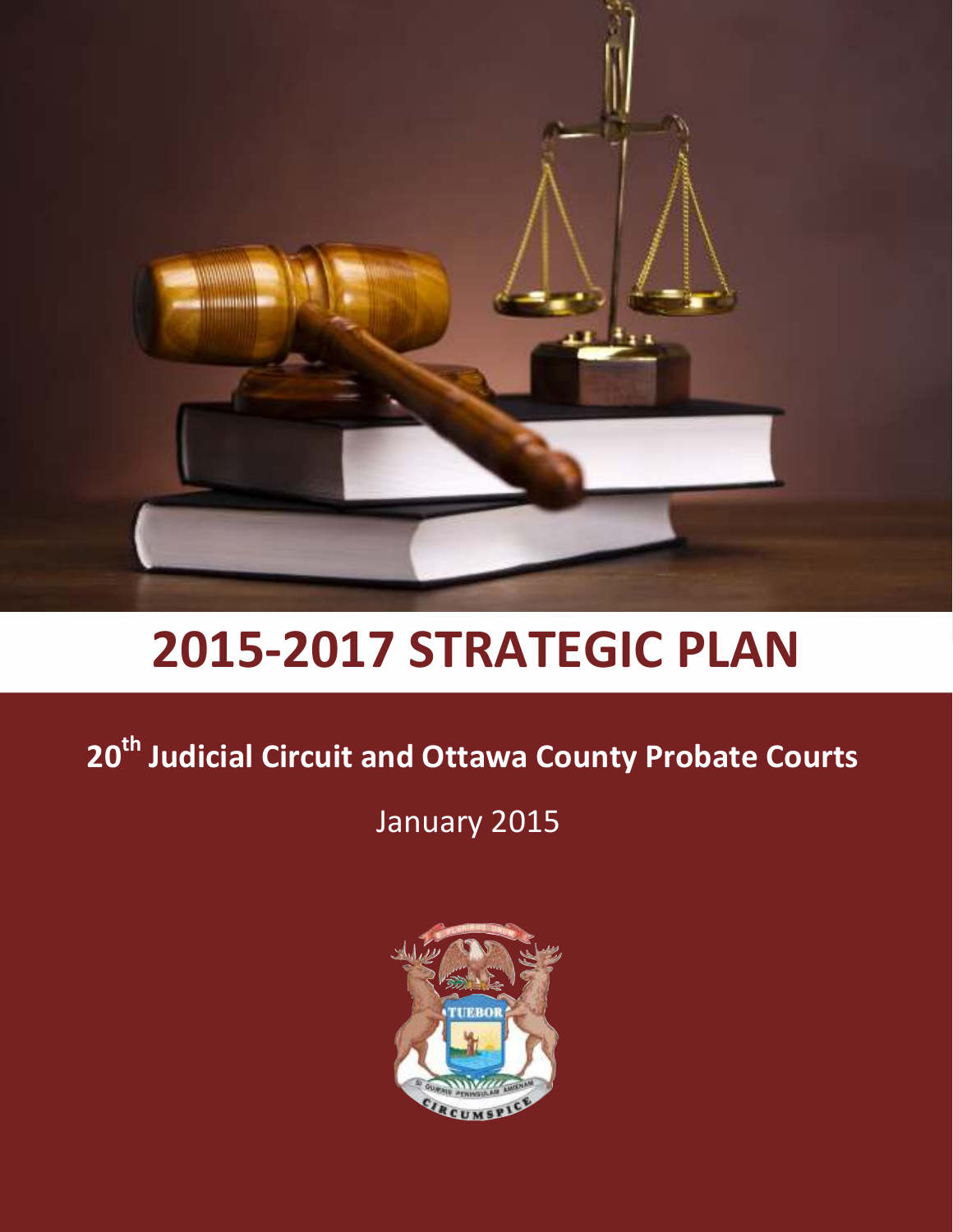

# **2015-2017 STRATEGIC PLAN**

# **20th Judicial Circuit and Ottawa County Probate Courts**

January 2015

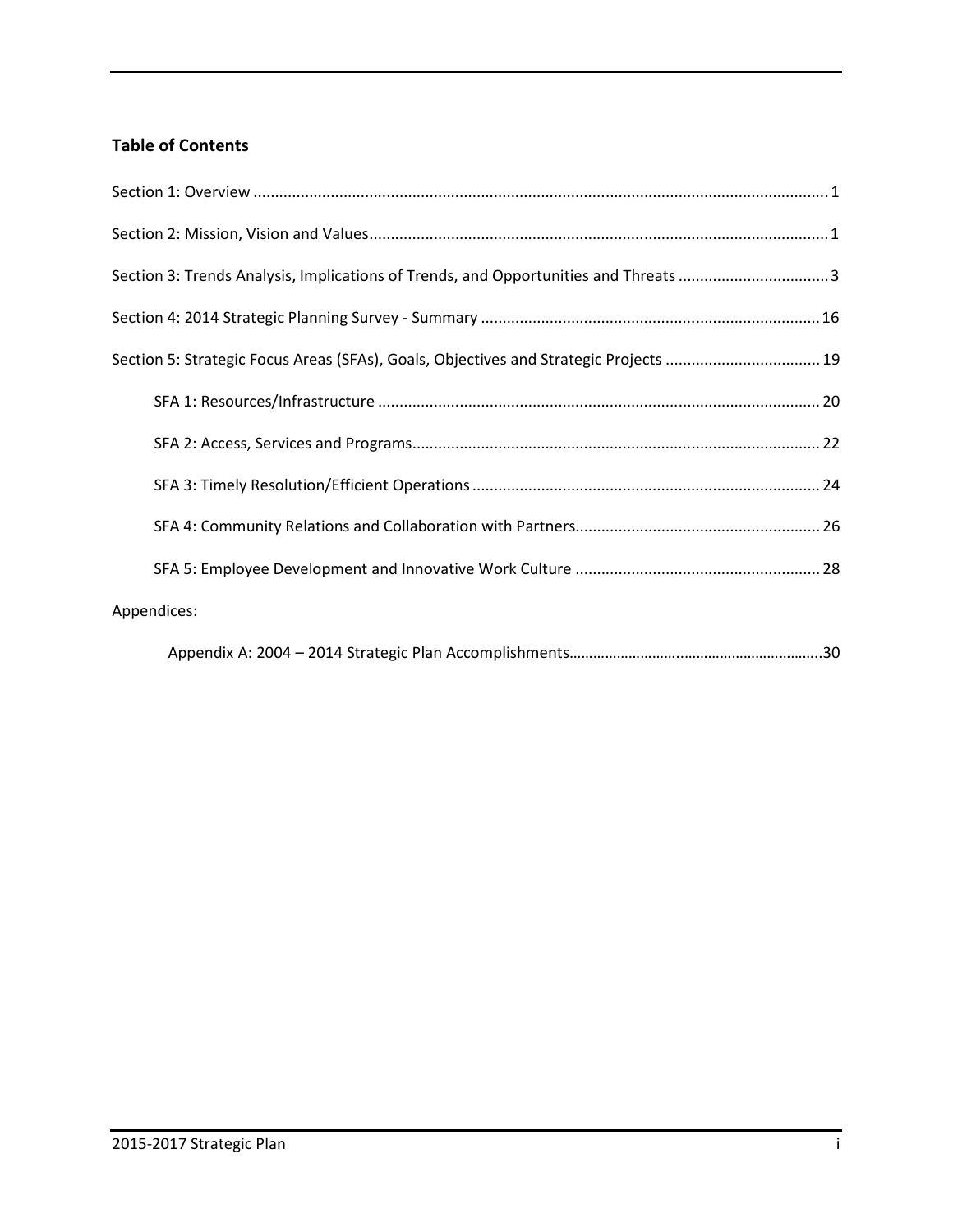# **Table of Contents**

| Section 3: Trends Analysis, Implications of Trends, and Opportunities and Threats 3   |
|---------------------------------------------------------------------------------------|
|                                                                                       |
| Section 5: Strategic Focus Areas (SFAs), Goals, Objectives and Strategic Projects  19 |
|                                                                                       |
|                                                                                       |
|                                                                                       |
|                                                                                       |
|                                                                                       |
| Appendices:                                                                           |
|                                                                                       |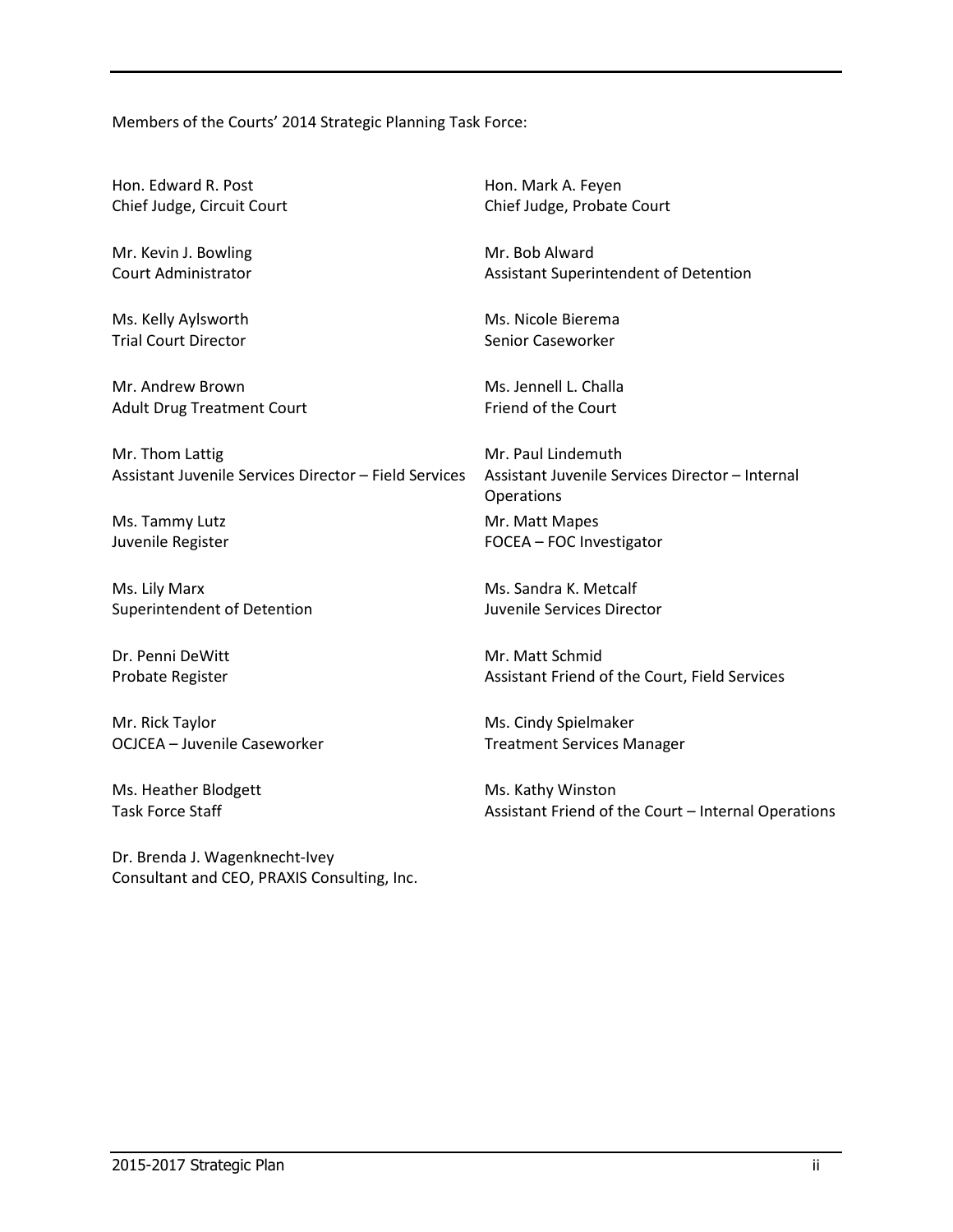Members of the Courts' 2014 Strategic Planning Task Force:

Hon. Edward R. Post Chief Judge, Circuit Court

Mr. Kevin J. Bowling Court Administrator

Ms. Kelly Aylsworth Trial Court Director

Mr. Andrew Brown Adult Drug Treatment Court

Mr. Thom Lattig Assistant Juvenile Services Director – Field Services

Ms. Tammy Lutz Juvenile Register

Ms. Lily Marx Superintendent of Detention

Dr. Penni DeWitt Probate Register

Mr. Rick Taylor OCJCEA – Juvenile Caseworker

Ms. Heather Blodgett Task Force Staff

Dr. Brenda J. Wagenknecht-Ivey Consultant and CEO, PRAXIS Consulting, Inc. Hon. Mark A. Feyen Chief Judge, Probate Court

Mr. Bob Alward Assistant Superintendent of Detention

Ms. Nicole Bierema Senior Caseworker

Ms. Jennell L. Challa Friend of the Court

Mr. Paul Lindemuth Assistant Juvenile Services Director – Internal Operations Mr. Matt Mapes FOCEA – FOC Investigator

Ms. Sandra K. Metcalf Juvenile Services Director

Mr. Matt Schmid Assistant Friend of the Court, Field Services

Ms. Cindy Spielmaker Treatment Services Manager

Ms. Kathy Winston Assistant Friend of the Court – Internal Operations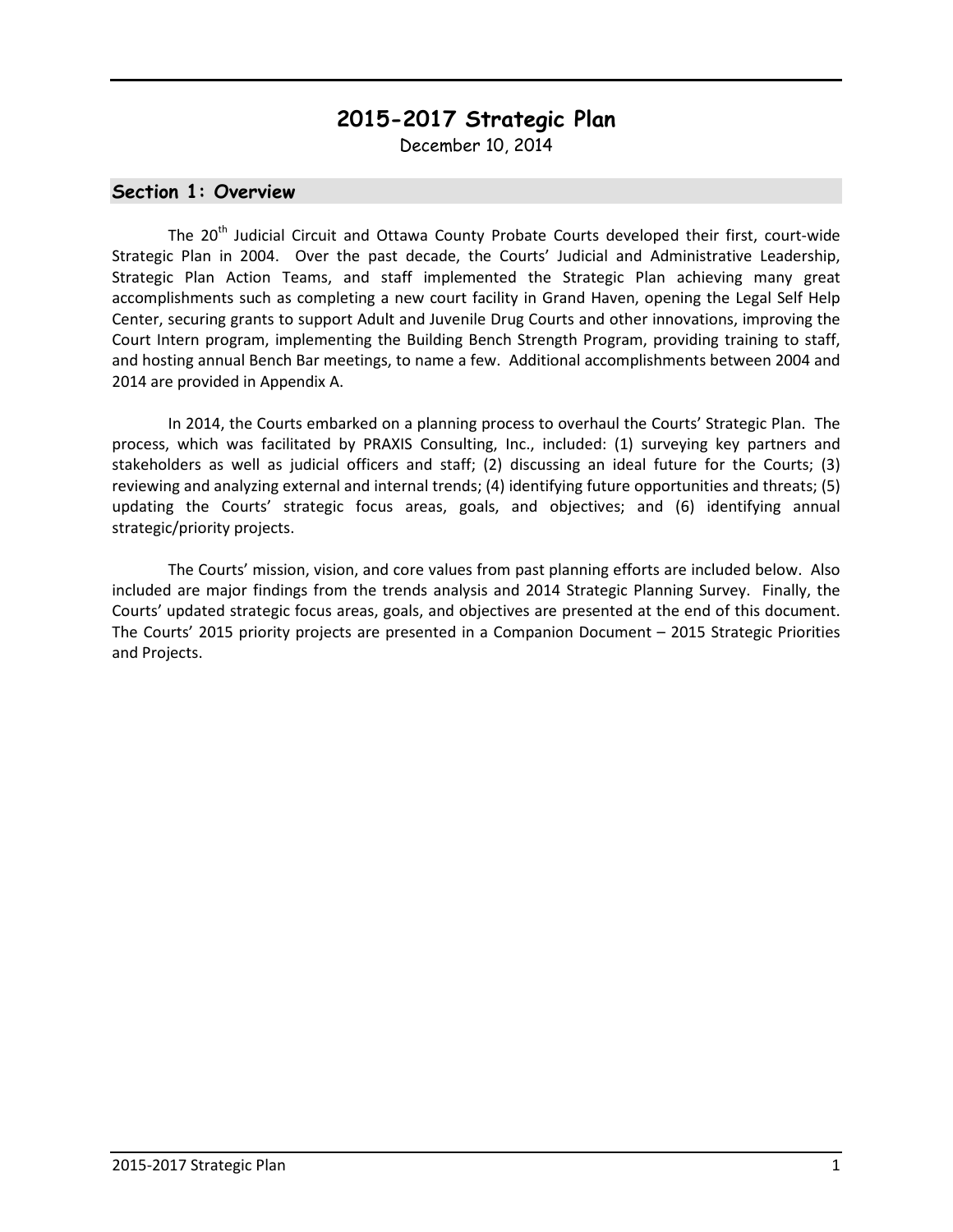# **2015-2017 Strategic Plan**

December 10, 2014

#### **Section 1: Overview**

The 20<sup>th</sup> Judicial Circuit and Ottawa County Probate Courts developed their first, court-wide Strategic Plan in 2004. Over the past decade, the Courts' Judicial and Administrative Leadership, Strategic Plan Action Teams, and staff implemented the Strategic Plan achieving many great accomplishments such as completing a new court facility in Grand Haven, opening the Legal Self Help Center, securing grants to support Adult and Juvenile Drug Courts and other innovations, improving the Court Intern program, implementing the Building Bench Strength Program, providing training to staff, and hosting annual Bench Bar meetings, to name a few. Additional accomplishments between 2004 and 2014 are provided in Appendix A.

 In 2014, the Courts embarked on a planning process to overhaul the Courts' Strategic Plan. The process, which was facilitated by PRAXIS Consulting, Inc., included: (1) surveying key partners and stakeholders as well as judicial officers and staff; (2) discussing an ideal future for the Courts; (3) reviewing and analyzing external and internal trends; (4) identifying future opportunities and threats; (5) updating the Courts' strategic focus areas, goals, and objectives; and (6) identifying annual strategic/priority projects.

 The Courts' mission, vision, and core values from past planning efforts are included below. Also included are major findings from the trends analysis and 2014 Strategic Planning Survey. Finally, the Courts' updated strategic focus areas, goals, and objectives are presented at the end of this document. The Courts' 2015 priority projects are presented in a Companion Document – 2015 Strategic Priorities and Projects.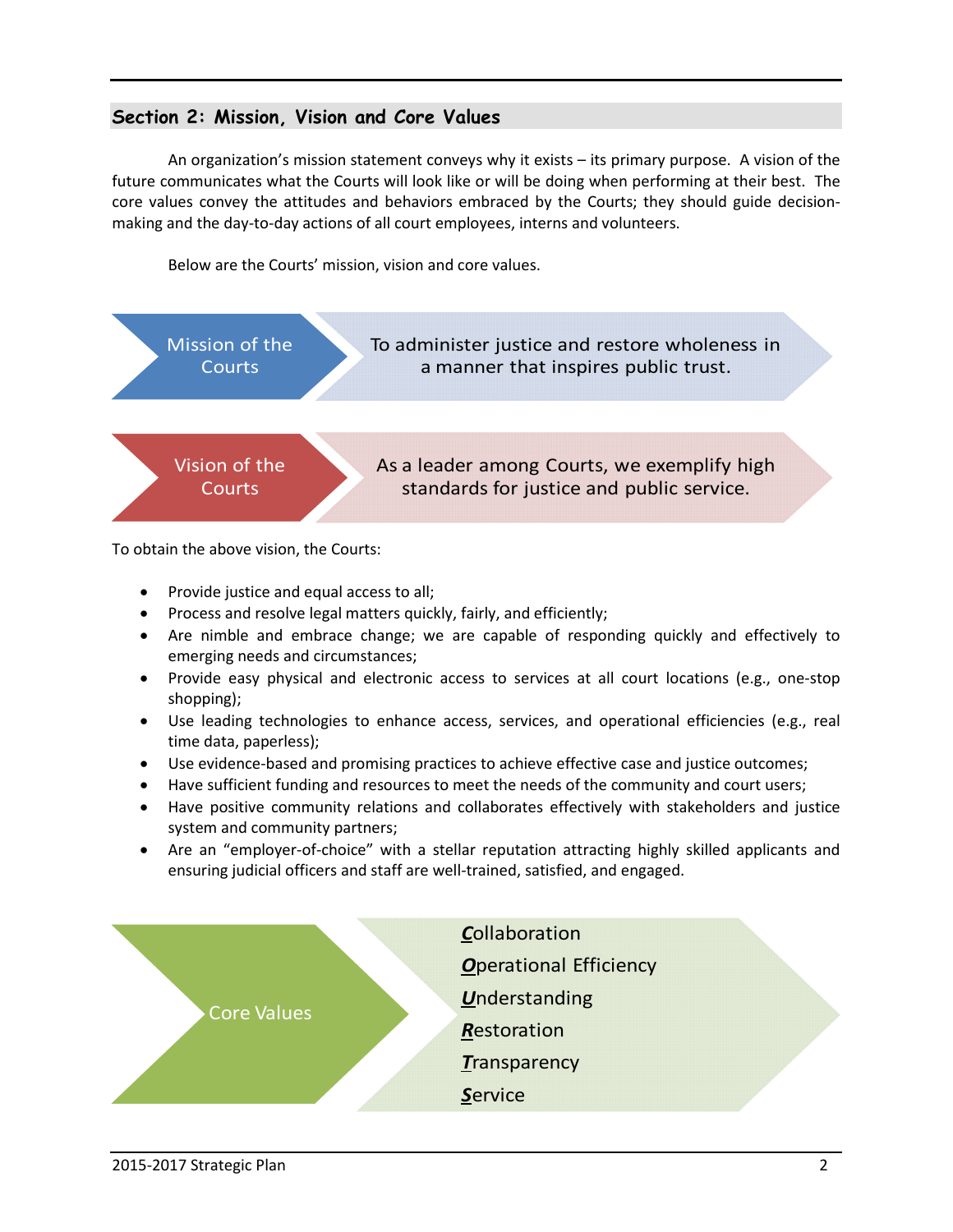# **Section 2: Mission, Vision and Core Values**

 An organization's mission statement conveys why it exists – its primary purpose. A vision of the future communicates what the Courts will look like or will be doing when performing at their best. The core values convey the attitudes and behaviors embraced by the Courts; they should guide decisionmaking and the day-to-day actions of all court employees, interns and volunteers.

Below are the Courts' mission, vision and core values.



To obtain the above vision, the Courts:

- Provide justice and equal access to all;
- Process and resolve legal matters quickly, fairly, and efficiently;
- Are nimble and embrace change; we are capable of responding quickly and effectively to emerging needs and circumstances;
- Provide easy physical and electronic access to services at all court locations (e.g., one-stop shopping);
- Use leading technologies to enhance access, services, and operational efficiencies (e.g., real time data, paperless);
- Use evidence-based and promising practices to achieve effective case and justice outcomes;
- Have sufficient funding and resources to meet the needs of the community and court users;
- Have positive community relations and collaborates effectively with stakeholders and justice system and community partners;
- Are an "employer-of-choice" with a stellar reputation attracting highly skilled applicants and ensuring judicial officers and staff are well-trained, satisfied, and engaged.

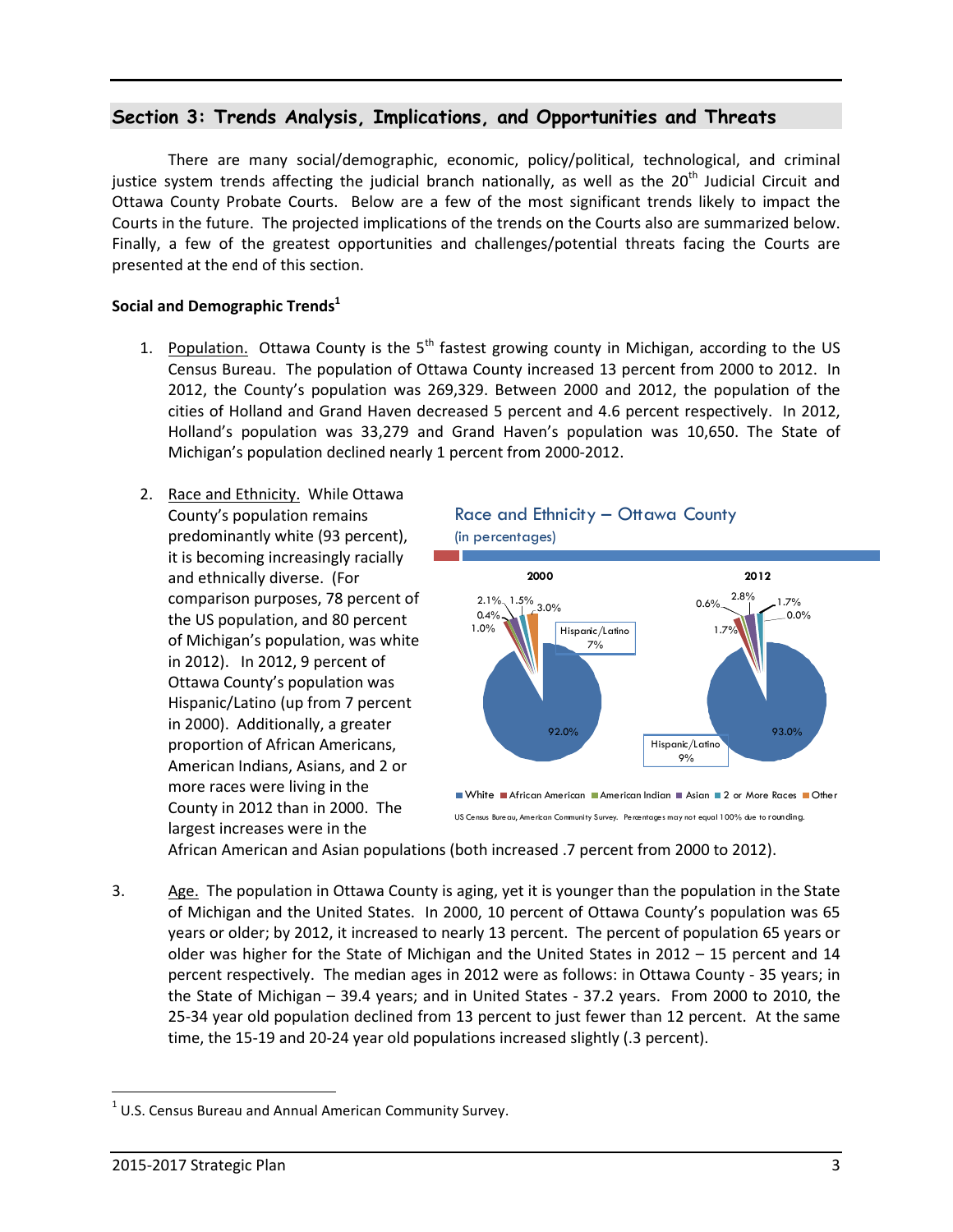# **Section 3: Trends Analysis, Implications, and Opportunities and Threats**

There are many social/demographic, economic, policy/political, technological, and criminal justice system trends affecting the judicial branch nationally, as well as the  $20<sup>th</sup>$  Judicial Circuit and Ottawa County Probate Courts. Below are a few of the most significant trends likely to impact the Courts in the future. The projected implications of the trends on the Courts also are summarized below. Finally, a few of the greatest opportunities and challenges/potential threats facing the Courts are presented at the end of this section.

#### **Social and Demographic Trends<sup>1</sup>**

- 1. Population. Ottawa County is the  $5<sup>th</sup>$  fastest growing county in Michigan, according to the US Census Bureau. The population of Ottawa County increased 13 percent from 2000 to 2012. In 2012, the County's population was 269,329. Between 2000 and 2012, the population of the cities of Holland and Grand Haven decreased 5 percent and 4.6 percent respectively. In 2012, Holland's population was 33,279 and Grand Haven's population was 10,650. The State of Michigan's population declined nearly 1 percent from 2000-2012.
- 2. Race and Ethnicity. While Ottawa County's population remains predominantly white (93 percent), it is becoming increasingly racially and ethnically diverse. (For comparison purposes, 78 percent of the US population, and 80 percent of Michigan's population, was white in 2012). In 2012, 9 percent of Ottawa County's population was Hispanic/Latino (up from 7 percent in 2000). Additionally, a greater proportion of African Americans, American Indians, Asians, and 2 or more races were living in the County in 2012 than in 2000. The largest increases were in the





US Census Bureau, American Community Survey. Percentages may not equal 100% due to rounding.

African American and Asian populations (both increased .7 percent from 2000 to 2012).

3. Age. The population in Ottawa County is aging, yet it is younger than the population in the State of Michigan and the United States. In 2000, 10 percent of Ottawa County's population was 65 years or older; by 2012, it increased to nearly 13 percent. The percent of population 65 years or older was higher for the State of Michigan and the United States in 2012 – 15 percent and 14 percent respectively. The median ages in 2012 were as follows: in Ottawa County - 35 years; in the State of Michigan – 39.4 years; and in United States - 37.2 years. From 2000 to 2010, the 25-34 year old population declined from 13 percent to just fewer than 12 percent. At the same time, the 15-19 and 20-24 year old populations increased slightly (.3 percent).

 $\overline{a}$ 

 $1$  U.S. Census Bureau and Annual American Community Survey.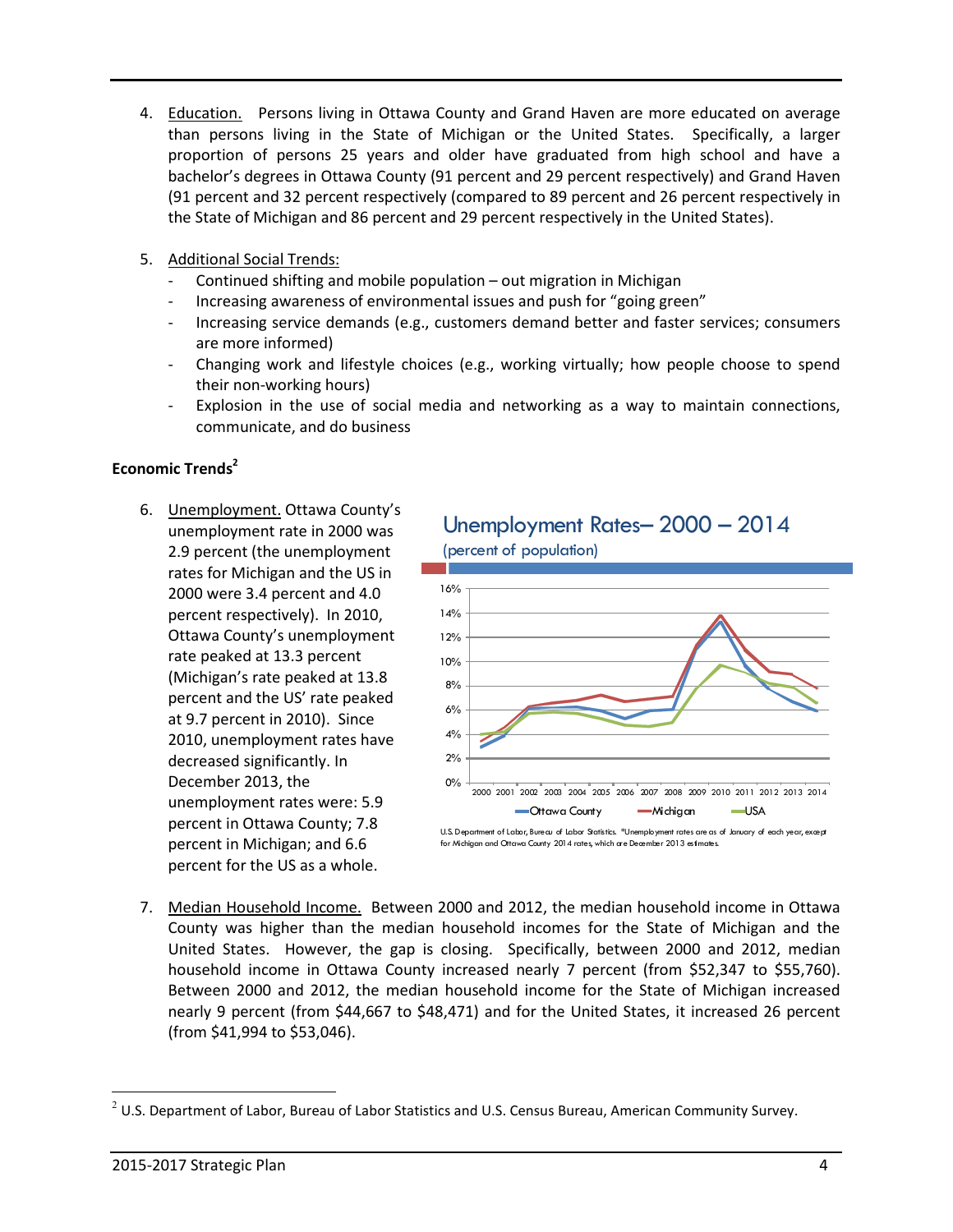- 4. Education. Persons living in Ottawa County and Grand Haven are more educated on average than persons living in the State of Michigan or the United States. Specifically, a larger proportion of persons 25 years and older have graduated from high school and have a bachelor's degrees in Ottawa County (91 percent and 29 percent respectively) and Grand Haven (91 percent and 32 percent respectively (compared to 89 percent and 26 percent respectively in the State of Michigan and 86 percent and 29 percent respectively in the United States).
- 5. Additional Social Trends:
	- Continued shifting and mobile population out migration in Michigan
	- Increasing awareness of environmental issues and push for "going green"
	- Increasing service demands (e.g., customers demand better and faster services; consumers are more informed)
	- Changing work and lifestyle choices (e.g., working virtually; how people choose to spend their non-working hours)
	- Explosion in the use of social media and networking as a way to maintain connections, communicate, and do business

#### **Economic Trends<sup>2</sup>**

6. Unemployment. Ottawa County's unemployment rate in 2000 was 2.9 percent (the unemployment rates for Michigan and the US in 2000 were 3.4 percent and 4.0 percent respectively). In 2010, Ottawa County's unemployment rate peaked at 13.3 percent (Michigan's rate peaked at 13.8 percent and the US' rate peaked at 9.7 percent in 2010). Since 2010, unemployment rates have decreased significantly. In December 2013, the unemployment rates were: 5.9 percent in Ottawa County; 7.8 percent in Michigan; and 6.6 percent for the US as a whole.



7. Median Household Income. Between 2000 and 2012, the median household income in Ottawa County was higher than the median household incomes for the State of Michigan and the United States. However, the gap is closing. Specifically, between 2000 and 2012, median household income in Ottawa County increased nearly 7 percent (from \$52,347 to \$55,760). Between 2000 and 2012, the median household income for the State of Michigan increased nearly 9 percent (from \$44,667 to \$48,471) and for the United States, it increased 26 percent (from \$41,994 to \$53,046).

 $\overline{a}$ 

 $2$  U.S. Department of Labor, Bureau of Labor Statistics and U.S. Census Bureau, American Community Survey.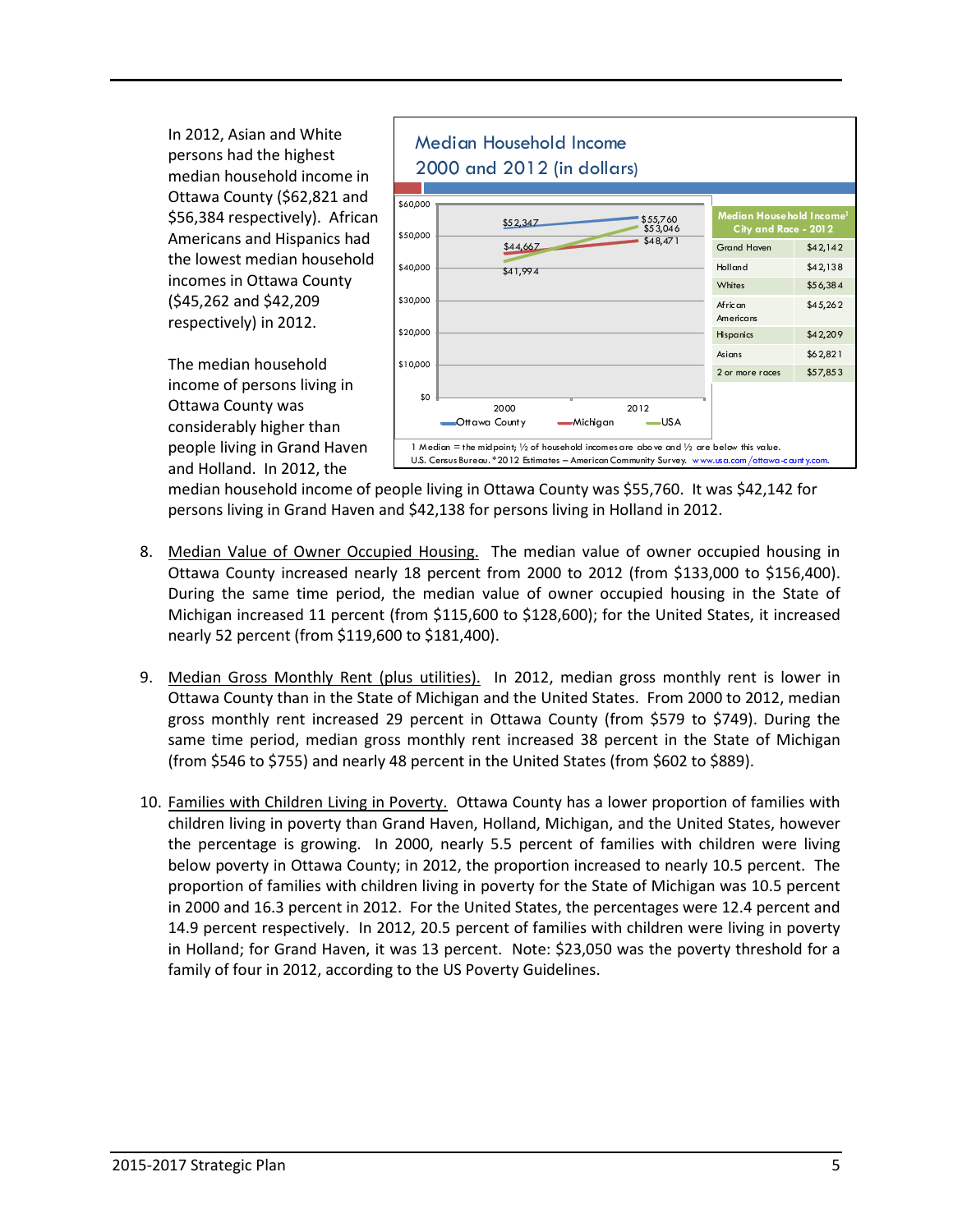In 2012, Asian and White persons had the highest median household income in Ottawa County (\$62,821 and \$56,384 respectively). African Americans and Hispanics had the lowest median household incomes in Ottawa County (\$45,262 and \$42,209 respectively) in 2012.





median household income of people living in Ottawa County was \$55,760. It was \$42,142 for persons living in Grand Haven and \$42,138 for persons living in Holland in 2012.

- 8. Median Value of Owner Occupied Housing. The median value of owner occupied housing in Ottawa County increased nearly 18 percent from 2000 to 2012 (from \$133,000 to \$156,400). During the same time period, the median value of owner occupied housing in the State of Michigan increased 11 percent (from \$115,600 to \$128,600); for the United States, it increased nearly 52 percent (from \$119,600 to \$181,400).
- 9. Median Gross Monthly Rent (plus utilities). In 2012, median gross monthly rent is lower in Ottawa County than in the State of Michigan and the United States. From 2000 to 2012, median gross monthly rent increased 29 percent in Ottawa County (from \$579 to \$749). During the same time period, median gross monthly rent increased 38 percent in the State of Michigan (from \$546 to \$755) and nearly 48 percent in the United States (from \$602 to \$889).
- 10. Families with Children Living in Poverty. Ottawa County has a lower proportion of families with children living in poverty than Grand Haven, Holland, Michigan, and the United States, however the percentage is growing. In 2000, nearly 5.5 percent of families with children were living below poverty in Ottawa County; in 2012, the proportion increased to nearly 10.5 percent. The proportion of families with children living in poverty for the State of Michigan was 10.5 percent in 2000 and 16.3 percent in 2012. For the United States, the percentages were 12.4 percent and 14.9 percent respectively. In 2012, 20.5 percent of families with children were living in poverty in Holland; for Grand Haven, it was 13 percent. Note: \$23,050 was the poverty threshold for a family of four in 2012, according to the US Poverty Guidelines.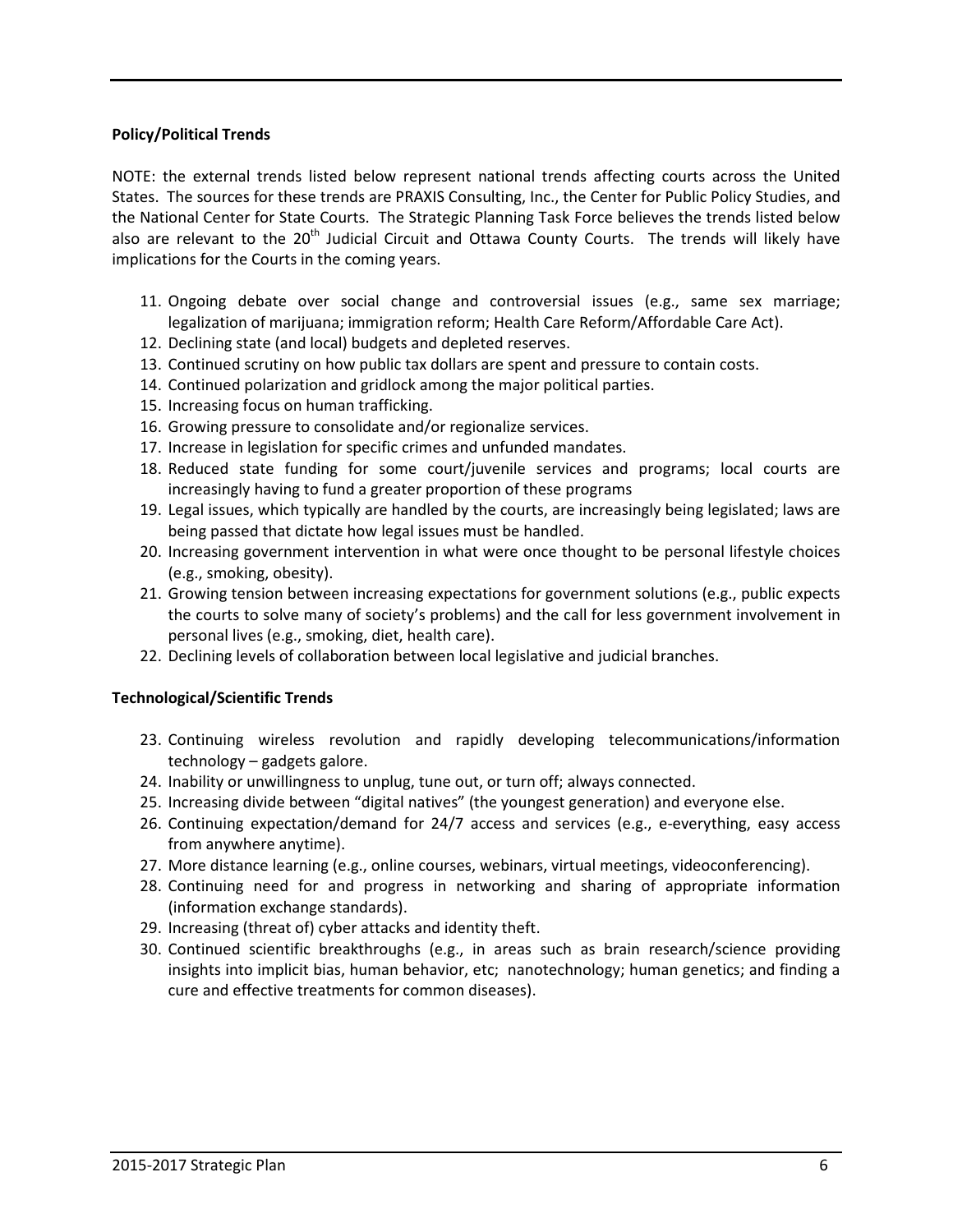#### **Policy/Political Trends**

NOTE: the external trends listed below represent national trends affecting courts across the United States. The sources for these trends are PRAXIS Consulting, Inc., the Center for Public Policy Studies, and the National Center for State Courts. The Strategic Planning Task Force believes the trends listed below also are relevant to the 20<sup>th</sup> Judicial Circuit and Ottawa County Courts. The trends will likely have implications for the Courts in the coming years.

- 11. Ongoing debate over social change and controversial issues (e.g., same sex marriage; legalization of marijuana; immigration reform; Health Care Reform/Affordable Care Act).
- 12. Declining state (and local) budgets and depleted reserves.
- 13. Continued scrutiny on how public tax dollars are spent and pressure to contain costs.
- 14. Continued polarization and gridlock among the major political parties.
- 15. Increasing focus on human trafficking.
- 16. Growing pressure to consolidate and/or regionalize services.
- 17. Increase in legislation for specific crimes and unfunded mandates.
- 18. Reduced state funding for some court/juvenile services and programs; local courts are increasingly having to fund a greater proportion of these programs
- 19. Legal issues, which typically are handled by the courts, are increasingly being legislated; laws are being passed that dictate how legal issues must be handled.
- 20. Increasing government intervention in what were once thought to be personal lifestyle choices (e.g., smoking, obesity).
- 21. Growing tension between increasing expectations for government solutions (e.g., public expects the courts to solve many of society's problems) and the call for less government involvement in personal lives (e.g., smoking, diet, health care).
- 22. Declining levels of collaboration between local legislative and judicial branches.

#### **Technological/Scientific Trends**

- 23. Continuing wireless revolution and rapidly developing telecommunications/information technology – gadgets galore.
- 24. Inability or unwillingness to unplug, tune out, or turn off; always connected.
- 25. Increasing divide between "digital natives" (the youngest generation) and everyone else.
- 26. Continuing expectation/demand for 24/7 access and services (e.g., e-everything, easy access from anywhere anytime).
- 27. More distance learning (e.g., online courses, webinars, virtual meetings, videoconferencing).
- 28. Continuing need for and progress in networking and sharing of appropriate information (information exchange standards).
- 29. Increasing (threat of) cyber attacks and identity theft.
- 30. Continued scientific breakthroughs (e.g., in areas such as brain research/science providing insights into implicit bias, human behavior, etc; nanotechnology; human genetics; and finding a cure and effective treatments for common diseases).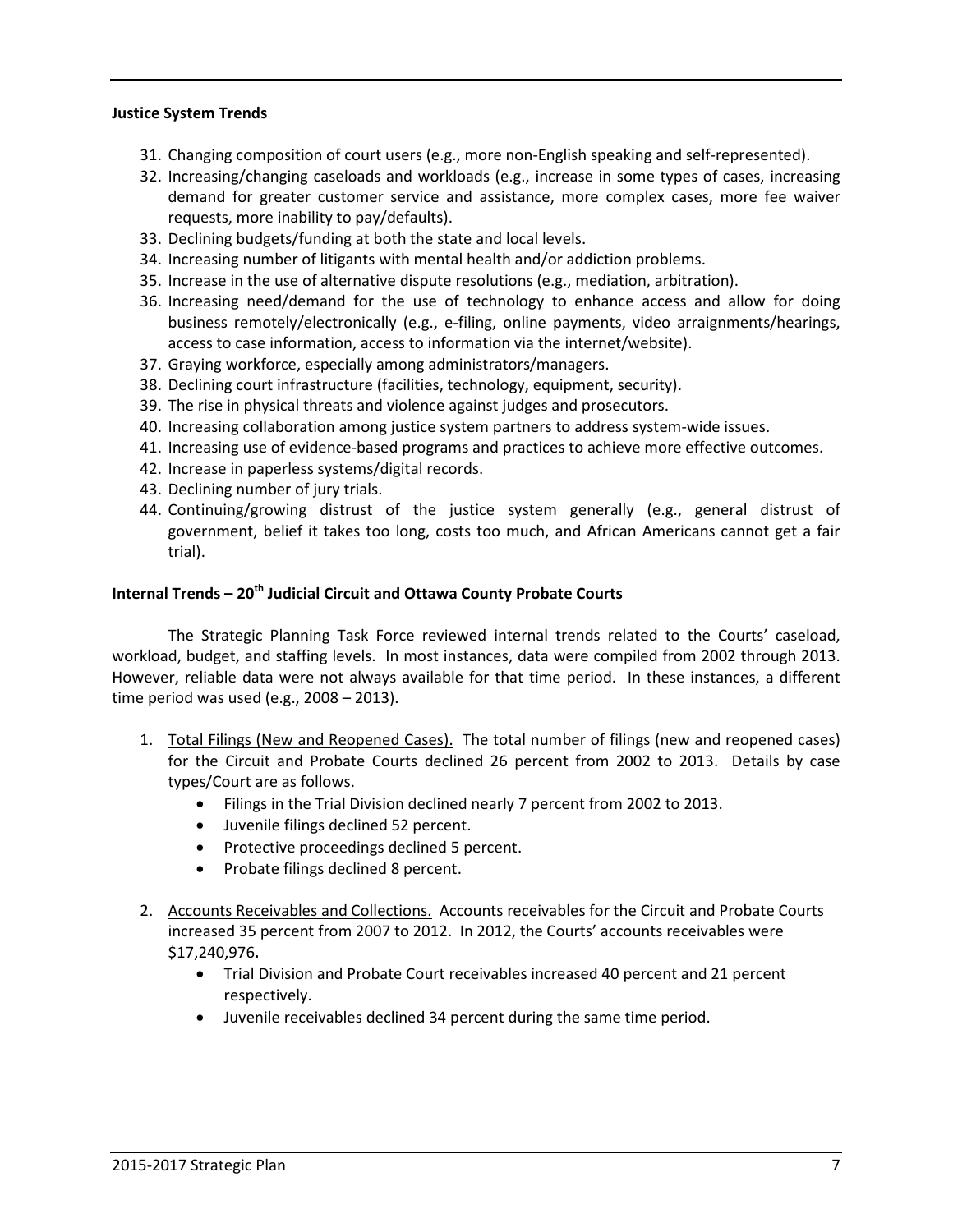#### **Justice System Trends**

- 31. Changing composition of court users (e.g., more non-English speaking and self-represented).
- 32. Increasing/changing caseloads and workloads (e.g., increase in some types of cases, increasing demand for greater customer service and assistance, more complex cases, more fee waiver requests, more inability to pay/defaults).
- 33. Declining budgets/funding at both the state and local levels.
- 34. Increasing number of litigants with mental health and/or addiction problems.
- 35. Increase in the use of alternative dispute resolutions (e.g., mediation, arbitration).
- 36. Increasing need/demand for the use of technology to enhance access and allow for doing business remotely/electronically (e.g., e-filing, online payments, video arraignments/hearings, access to case information, access to information via the internet/website).
- 37. Graying workforce, especially among administrators/managers.
- 38. Declining court infrastructure (facilities, technology, equipment, security).
- 39. The rise in physical threats and violence against judges and prosecutors.
- 40. Increasing collaboration among justice system partners to address system-wide issues.
- 41. Increasing use of evidence-based programs and practices to achieve more effective outcomes.
- 42. Increase in paperless systems/digital records.
- 43. Declining number of jury trials.
- 44. Continuing/growing distrust of the justice system generally (e.g., general distrust of government, belief it takes too long, costs too much, and African Americans cannot get a fair trial).

#### **Internal Trends – 20th Judicial Circuit and Ottawa County Probate Courts**

 The Strategic Planning Task Force reviewed internal trends related to the Courts' caseload, workload, budget, and staffing levels. In most instances, data were compiled from 2002 through 2013. However, reliable data were not always available for that time period. In these instances, a different time period was used (e.g., 2008 – 2013).

- 1. Total Filings (New and Reopened Cases). The total number of filings (new and reopened cases) for the Circuit and Probate Courts declined 26 percent from 2002 to 2013. Details by case types/Court are as follows.
	- Filings in the Trial Division declined nearly 7 percent from 2002 to 2013.
	- Juvenile filings declined 52 percent.
	- Protective proceedings declined 5 percent.
	- Probate filings declined 8 percent.
- 2. Accounts Receivables and Collections. Accounts receivables for the Circuit and Probate Courts increased 35 percent from 2007 to 2012. In 2012, the Courts' accounts receivables were \$17,240,976**.** 
	- Trial Division and Probate Court receivables increased 40 percent and 21 percent respectively.
	- Juvenile receivables declined 34 percent during the same time period.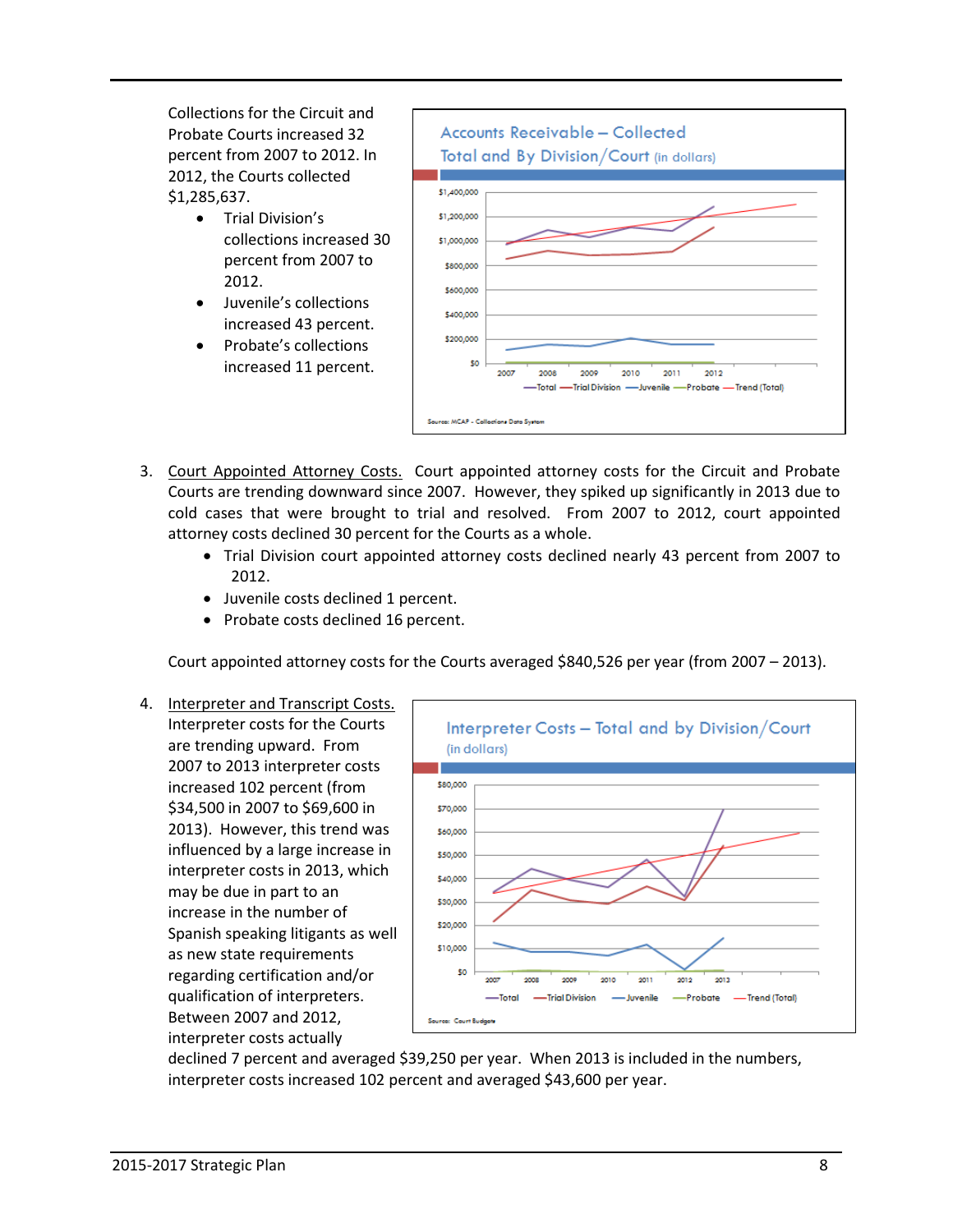Collections for the Circuit and Probate Courts increased 32 percent from 2007 to 2012. In 2012, the Courts collected \$1,285,637.

- Trial Division's collections increased 30 percent from 2007 to 2012.
- Juvenile's collections increased 43 percent.
- Probate's collections increased 11 percent.



- 3. Court Appointed Attorney Costs. Court appointed attorney costs for the Circuit and Probate Courts are trending downward since 2007. However, they spiked up significantly in 2013 due to cold cases that were brought to trial and resolved. From 2007 to 2012, court appointed attorney costs declined 30 percent for the Courts as a whole.
	- Trial Division court appointed attorney costs declined nearly 43 percent from 2007 to 2012.
	- Juvenile costs declined 1 percent.
	- Probate costs declined 16 percent.

Court appointed attorney costs for the Courts averaged \$840,526 per year (from 2007 – 2013).

4. Interpreter and Transcript Costs. Interpreter costs for the Courts are trending upward. From 2007 to 2013 interpreter costs increased 102 percent (from \$34,500 in 2007 to \$69,600 in 2013). However, this trend was influenced by a large increase in interpreter costs in 2013, which may be due in part to an increase in the number of Spanish speaking litigants as well as new state requirements regarding certification and/or qualification of interpreters. Between 2007 and 2012, interpreter costs actually



declined 7 percent and averaged \$39,250 per year. When 2013 is included in the numbers, interpreter costs increased 102 percent and averaged \$43,600 per year.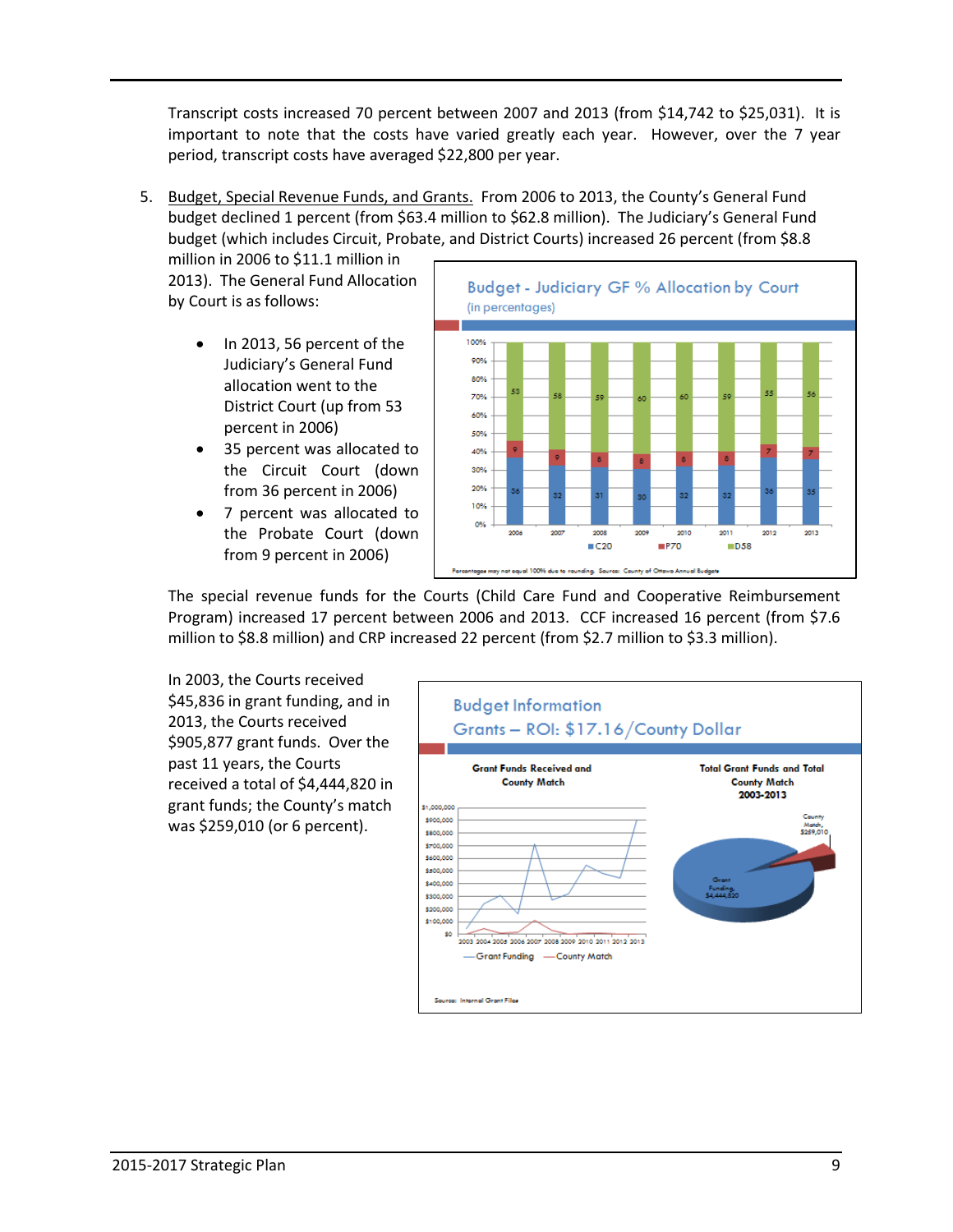Transcript costs increased 70 percent between 2007 and 2013 (from \$14,742 to \$25,031). It is important to note that the costs have varied greatly each year. However, over the 7 year period, transcript costs have averaged \$22,800 per year.

5. Budget, Special Revenue Funds, and Grants. From 2006 to 2013, the County's General Fund budget declined 1 percent (from \$63.4 million to \$62.8 million). The Judiciary's General Fund budget (which includes Circuit, Probate, and District Courts) increased 26 percent (from \$8.8

million in 2006 to \$11.1 million in 2013). The General Fund Allocation by Court is as follows:

- In 2013, 56 percent of the Judiciary's General Fund allocation went to the District Court (up from 53 percent in 2006)
- 35 percent was allocated to the Circuit Court (down from 36 percent in 2006)
- 7 percent was allocated to the Probate Court (down from 9 percent in 2006)



 The special revenue funds for the Courts (Child Care Fund and Cooperative Reimbursement Program) increased 17 percent between 2006 and 2013. CCF increased 16 percent (from \$7.6 million to \$8.8 million) and CRP increased 22 percent (from \$2.7 million to \$3.3 million).

 In 2003, the Courts received \$45,836 in grant funding, and in 2013, the Courts received \$905,877 grant funds. Over the past 11 years, the Courts received a total of \$4,444,820 in grant funds; the County's match was \$259,010 (or 6 percent).

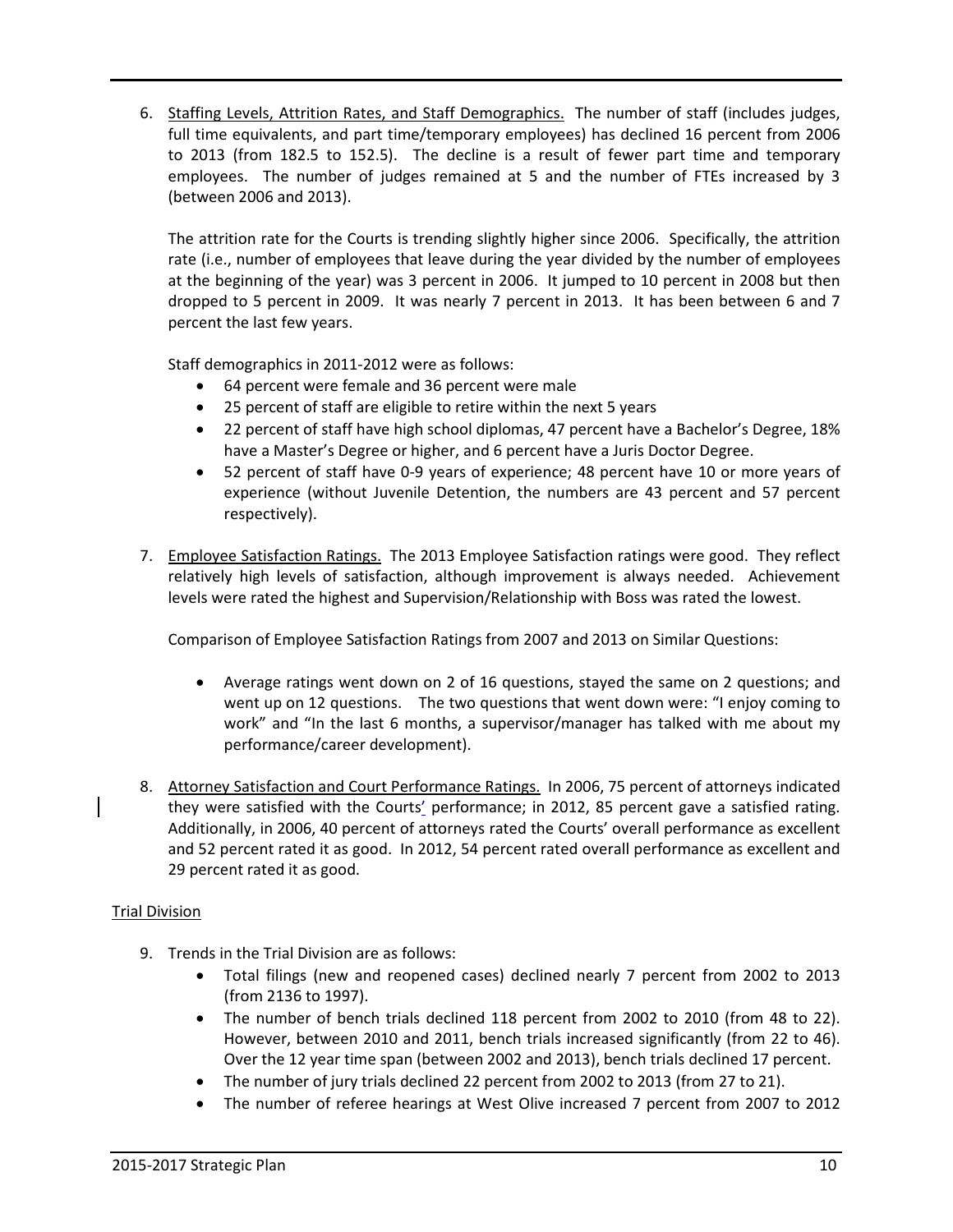6. Staffing Levels, Attrition Rates, and Staff Demographics. The number of staff (includes judges, full time equivalents, and part time/temporary employees) has declined 16 percent from 2006 to 2013 (from 182.5 to 152.5). The decline is a result of fewer part time and temporary employees. The number of judges remained at 5 and the number of FTEs increased by 3 (between 2006 and 2013).

The attrition rate for the Courts is trending slightly higher since 2006. Specifically, the attrition rate (i.e., number of employees that leave during the year divided by the number of employees at the beginning of the year) was 3 percent in 2006. It jumped to 10 percent in 2008 but then dropped to 5 percent in 2009. It was nearly 7 percent in 2013. It has been between 6 and 7 percent the last few years.

Staff demographics in 2011-2012 were as follows:

- 64 percent were female and 36 percent were male
- 25 percent of staff are eligible to retire within the next 5 years
- 22 percent of staff have high school diplomas, 47 percent have a Bachelor's Degree, 18% have a Master's Degree or higher, and 6 percent have a Juris Doctor Degree.
- 52 percent of staff have 0-9 years of experience; 48 percent have 10 or more years of experience (without Juvenile Detention, the numbers are 43 percent and 57 percent respectively).
- 7. Employee Satisfaction Ratings. The 2013 Employee Satisfaction ratings were good. They reflect relatively high levels of satisfaction, although improvement is always needed. Achievement levels were rated the highest and Supervision/Relationship with Boss was rated the lowest.

Comparison of Employee Satisfaction Ratings from 2007 and 2013 on Similar Questions:

- Average ratings went down on 2 of 16 questions, stayed the same on 2 questions; and went up on 12 questions. The two questions that went down were: "I enjoy coming to work" and "In the last 6 months, a supervisor/manager has talked with me about my performance/career development).
- 8. Attorney Satisfaction and Court Performance Ratings. In 2006, 75 percent of attorneys indicated they were satisfied with the Courts' performance; in 2012, 85 percent gave a satisfied rating. Additionally, in 2006, 40 percent of attorneys rated the Courts' overall performance as excellent and 52 percent rated it as good. In 2012, 54 percent rated overall performance as excellent and 29 percent rated it as good.

#### Trial Division

- 9. Trends in the Trial Division are as follows:
	- Total filings (new and reopened cases) declined nearly 7 percent from 2002 to 2013 (from 2136 to 1997).
	- The number of bench trials declined 118 percent from 2002 to 2010 (from 48 to 22). However, between 2010 and 2011, bench trials increased significantly (from 22 to 46). Over the 12 year time span (between 2002 and 2013), bench trials declined 17 percent.
	- The number of jury trials declined 22 percent from 2002 to 2013 (from 27 to 21).
	- The number of referee hearings at West Olive increased 7 percent from 2007 to 2012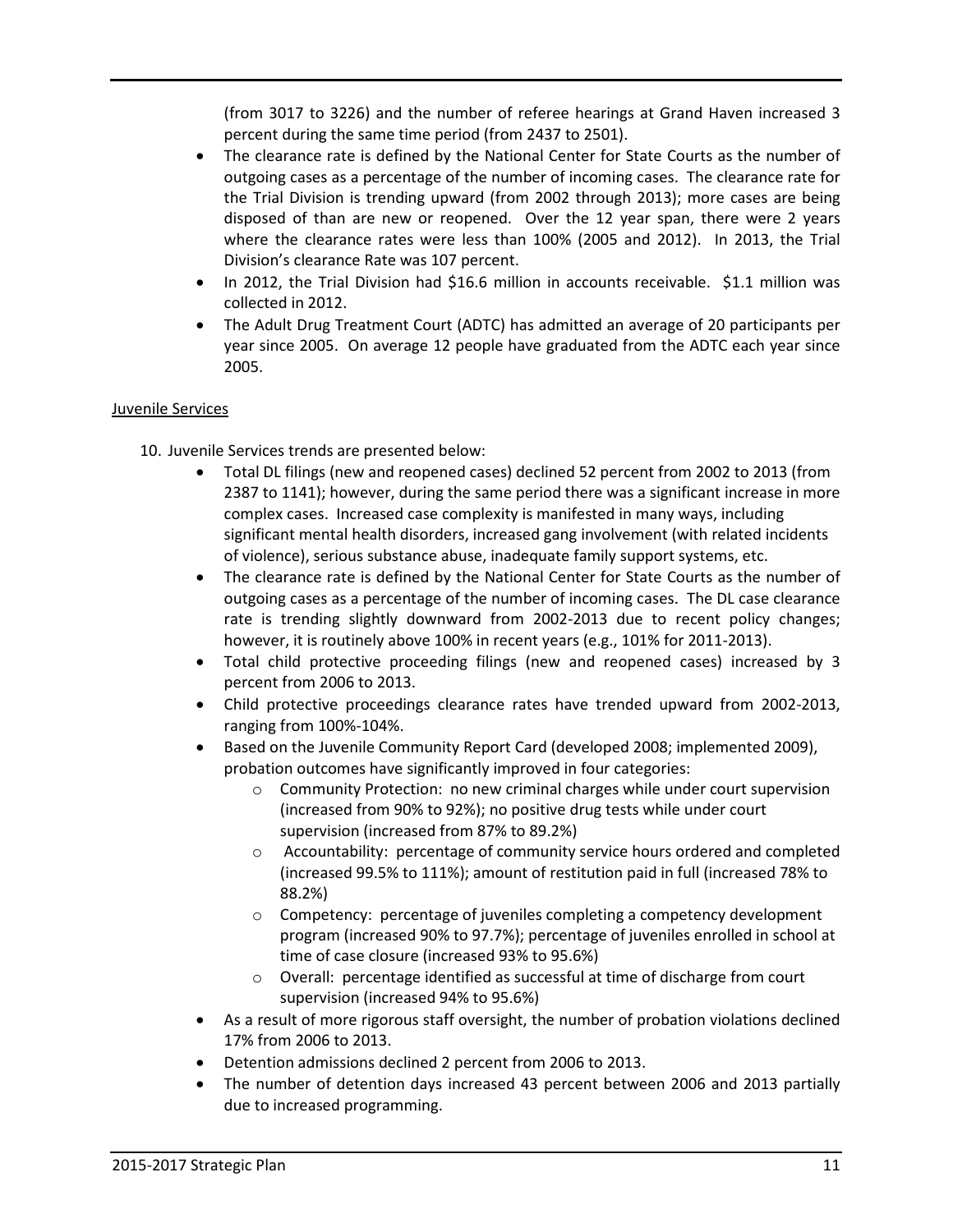(from 3017 to 3226) and the number of referee hearings at Grand Haven increased 3 percent during the same time period (from 2437 to 2501).

- The clearance rate is defined by the National Center for State Courts as the number of outgoing cases as a percentage of the number of incoming cases. The clearance rate for the Trial Division is trending upward (from 2002 through 2013); more cases are being disposed of than are new or reopened. Over the 12 year span, there were 2 years where the clearance rates were less than 100% (2005 and 2012). In 2013, the Trial Division's clearance Rate was 107 percent.
- In 2012, the Trial Division had \$16.6 million in accounts receivable. \$1.1 million was collected in 2012.
- The Adult Drug Treatment Court (ADTC) has admitted an average of 20 participants per year since 2005. On average 12 people have graduated from the ADTC each year since 2005.

#### Juvenile Services

- 10. Juvenile Services trends are presented below:
	- Total DL filings (new and reopened cases) declined 52 percent from 2002 to 2013 (from 2387 to 1141); however, during the same period there was a significant increase in more complex cases. Increased case complexity is manifested in many ways, including significant mental health disorders, increased gang involvement (with related incidents of violence), serious substance abuse, inadequate family support systems, etc.
	- The clearance rate is defined by the National Center for State Courts as the number of outgoing cases as a percentage of the number of incoming cases. The DL case clearance rate is trending slightly downward from 2002-2013 due to recent policy changes; however, it is routinely above 100% in recent years (e.g., 101% for 2011-2013).
	- Total child protective proceeding filings (new and reopened cases) increased by 3 percent from 2006 to 2013.
	- Child protective proceedings clearance rates have trended upward from 2002-2013, ranging from 100%-104%.
	- Based on the Juvenile Community Report Card (developed 2008; implemented 2009), probation outcomes have significantly improved in four categories:
		- o Community Protection: no new criminal charges while under court supervision (increased from 90% to 92%); no positive drug tests while under court supervision (increased from 87% to 89.2%)
		- o Accountability: percentage of community service hours ordered and completed (increased 99.5% to 111%); amount of restitution paid in full (increased 78% to 88.2%)
		- o Competency: percentage of juveniles completing a competency development program (increased 90% to 97.7%); percentage of juveniles enrolled in school at time of case closure (increased 93% to 95.6%)
		- o Overall: percentage identified as successful at time of discharge from court supervision (increased 94% to 95.6%)
	- As a result of more rigorous staff oversight, the number of probation violations declined 17% from 2006 to 2013.
	- Detention admissions declined 2 percent from 2006 to 2013.
	- The number of detention days increased 43 percent between 2006 and 2013 partially due to increased programming.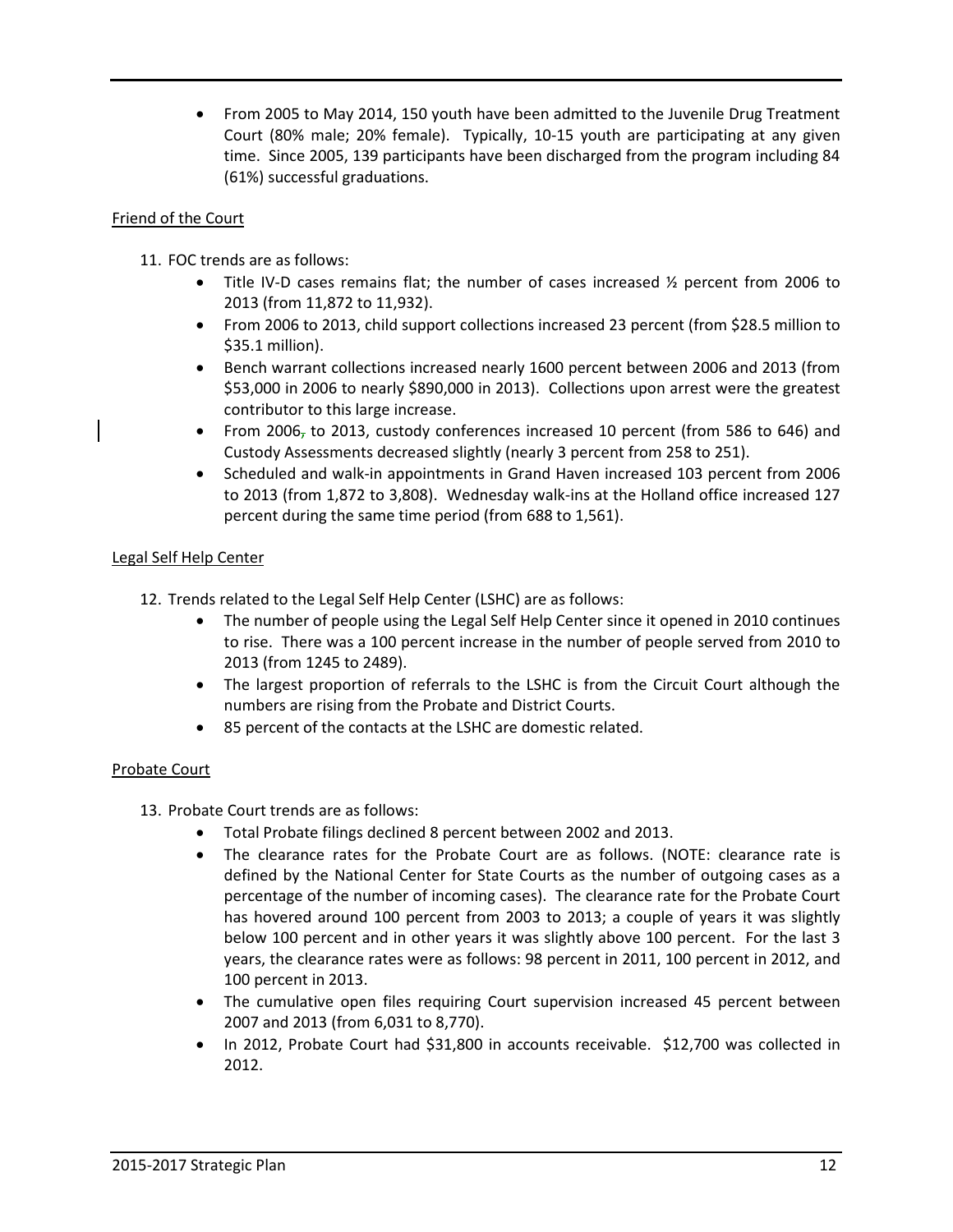• From 2005 to May 2014, 150 youth have been admitted to the Juvenile Drug Treatment Court (80% male; 20% female). Typically, 10-15 youth are participating at any given time. Since 2005, 139 participants have been discharged from the program including 84 (61%) successful graduations.

#### Friend of the Court

- 11. FOC trends are as follows:
	- Title IV-D cases remains flat; the number of cases increased  $\frac{1}{2}$  percent from 2006 to 2013 (from 11,872 to 11,932).
	- From 2006 to 2013, child support collections increased 23 percent (from \$28.5 million to \$35.1 million).
	- Bench warrant collections increased nearly 1600 percent between 2006 and 2013 (from \$53,000 in 2006 to nearly \$890,000 in 2013). Collections upon arrest were the greatest contributor to this large increase.
	- From 2006, to 2013, custody conferences increased 10 percent (from 586 to 646) and Custody Assessments decreased slightly (nearly 3 percent from 258 to 251).
	- Scheduled and walk-in appointments in Grand Haven increased 103 percent from 2006 to 2013 (from 1,872 to 3,808). Wednesday walk-ins at the Holland office increased 127 percent during the same time period (from 688 to 1,561).

#### Legal Self Help Center

- 12. Trends related to the Legal Self Help Center (LSHC) are as follows:
	- The number of people using the Legal Self Help Center since it opened in 2010 continues to rise. There was a 100 percent increase in the number of people served from 2010 to 2013 (from 1245 to 2489).
	- The largest proportion of referrals to the LSHC is from the Circuit Court although the numbers are rising from the Probate and District Courts.
	- 85 percent of the contacts at the LSHC are domestic related.

#### Probate Court

- 13. Probate Court trends are as follows:
	- Total Probate filings declined 8 percent between 2002 and 2013.
	- The clearance rates for the Probate Court are as follows. (NOTE: clearance rate is defined by the National Center for State Courts as the number of outgoing cases as a percentage of the number of incoming cases). The clearance rate for the Probate Court has hovered around 100 percent from 2003 to 2013; a couple of years it was slightly below 100 percent and in other years it was slightly above 100 percent. For the last 3 years, the clearance rates were as follows: 98 percent in 2011, 100 percent in 2012, and 100 percent in 2013.
	- The cumulative open files requiring Court supervision increased 45 percent between 2007 and 2013 (from 6,031 to 8,770).
	- In 2012, Probate Court had \$31,800 in accounts receivable. \$12,700 was collected in 2012.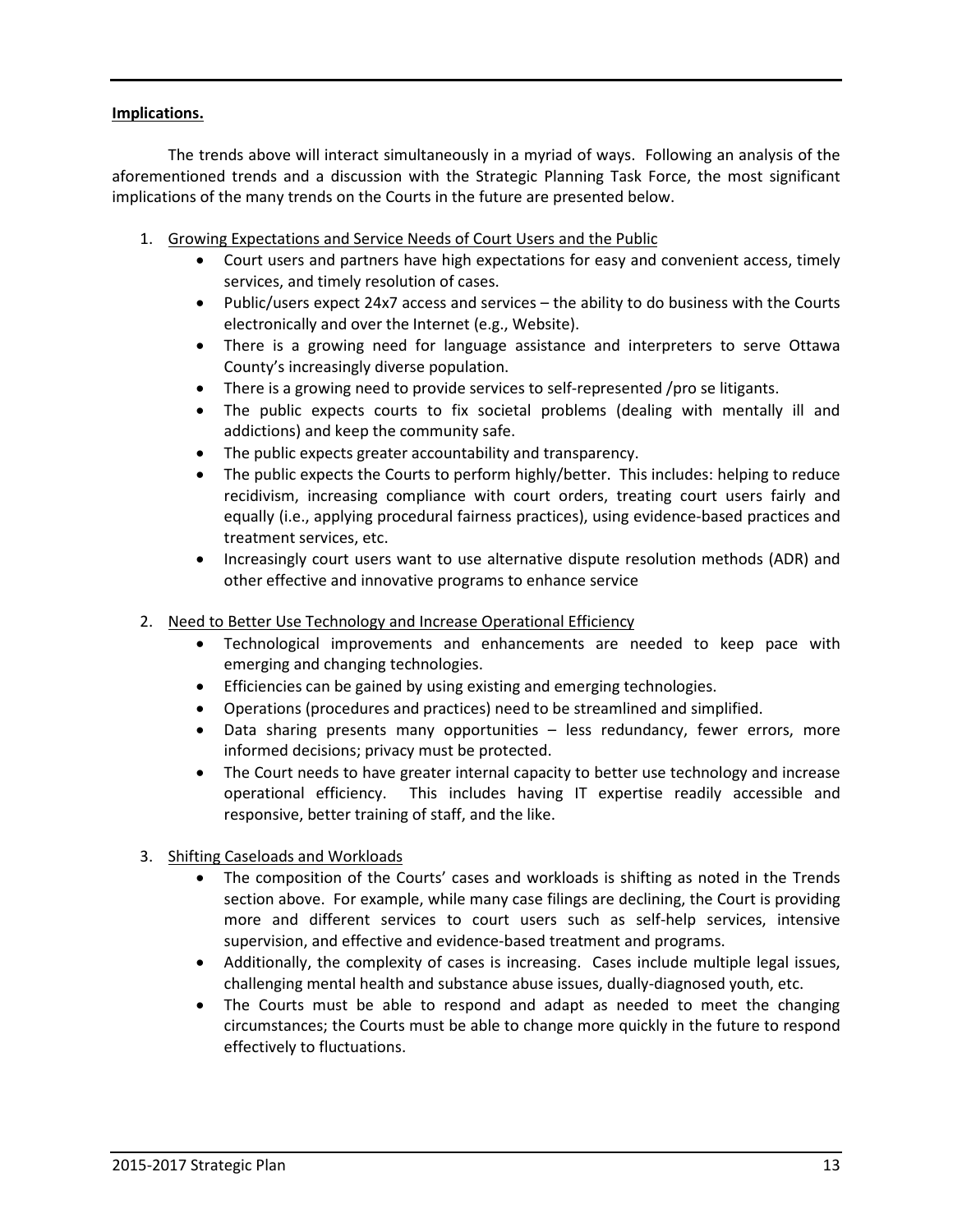#### **Implications.**

 The trends above will interact simultaneously in a myriad of ways. Following an analysis of the aforementioned trends and a discussion with the Strategic Planning Task Force, the most significant implications of the many trends on the Courts in the future are presented below.

- 1. Growing Expectations and Service Needs of Court Users and the Public
	- Court users and partners have high expectations for easy and convenient access, timely services, and timely resolution of cases.
	- Public/users expect 24x7 access and services the ability to do business with the Courts electronically and over the Internet (e.g., Website).
	- There is a growing need for language assistance and interpreters to serve Ottawa County's increasingly diverse population.
	- There is a growing need to provide services to self-represented /pro se litigants.
	- The public expects courts to fix societal problems (dealing with mentally ill and addictions) and keep the community safe.
	- The public expects greater accountability and transparency.
	- The public expects the Courts to perform highly/better. This includes: helping to reduce recidivism, increasing compliance with court orders, treating court users fairly and equally (i.e., applying procedural fairness practices), using evidence-based practices and treatment services, etc.
	- Increasingly court users want to use alternative dispute resolution methods (ADR) and other effective and innovative programs to enhance service
- 2. Need to Better Use Technology and Increase Operational Efficiency
	- Technological improvements and enhancements are needed to keep pace with emerging and changing technologies.
	- Efficiencies can be gained by using existing and emerging technologies.
	- Operations (procedures and practices) need to be streamlined and simplified.
	- Data sharing presents many opportunities less redundancy, fewer errors, more informed decisions; privacy must be protected.
	- The Court needs to have greater internal capacity to better use technology and increase operational efficiency. This includes having IT expertise readily accessible and responsive, better training of staff, and the like.
- 3. Shifting Caseloads and Workloads
	- The composition of the Courts' cases and workloads is shifting as noted in the Trends section above. For example, while many case filings are declining, the Court is providing more and different services to court users such as self-help services, intensive supervision, and effective and evidence-based treatment and programs.
	- Additionally, the complexity of cases is increasing. Cases include multiple legal issues, challenging mental health and substance abuse issues, dually-diagnosed youth, etc.
	- The Courts must be able to respond and adapt as needed to meet the changing circumstances; the Courts must be able to change more quickly in the future to respond effectively to fluctuations.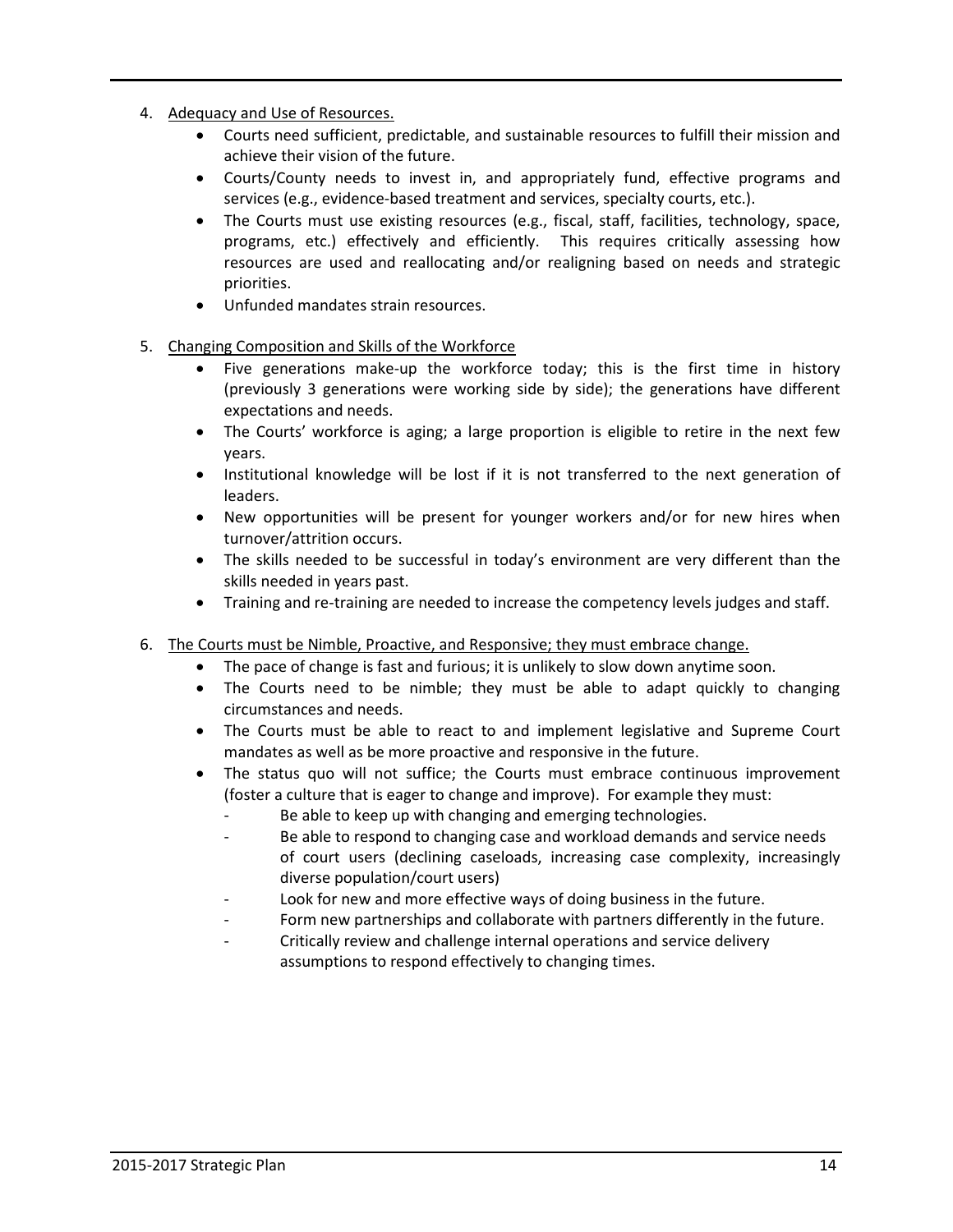- 4. Adequacy and Use of Resources.
	- Courts need sufficient, predictable, and sustainable resources to fulfill their mission and achieve their vision of the future.
	- Courts/County needs to invest in, and appropriately fund, effective programs and services (e.g., evidence-based treatment and services, specialty courts, etc.).
	- The Courts must use existing resources (e.g., fiscal, staff, facilities, technology, space, programs, etc.) effectively and efficiently. This requires critically assessing how resources are used and reallocating and/or realigning based on needs and strategic priorities.
	- Unfunded mandates strain resources.
- 5. Changing Composition and Skills of the Workforce
	- Five generations make-up the workforce today; this is the first time in history (previously 3 generations were working side by side); the generations have different expectations and needs.
	- The Courts' workforce is aging; a large proportion is eligible to retire in the next few years.
	- Institutional knowledge will be lost if it is not transferred to the next generation of leaders.
	- New opportunities will be present for younger workers and/or for new hires when turnover/attrition occurs.
	- The skills needed to be successful in today's environment are very different than the skills needed in years past.
	- Training and re-training are needed to increase the competency levels judges and staff.
- 6. The Courts must be Nimble, Proactive, and Responsive; they must embrace change.
	- The pace of change is fast and furious; it is unlikely to slow down anytime soon.
	- The Courts need to be nimble; they must be able to adapt quickly to changing circumstances and needs.
	- The Courts must be able to react to and implement legislative and Supreme Court mandates as well as be more proactive and responsive in the future.
	- The status quo will not suffice; the Courts must embrace continuous improvement (foster a culture that is eager to change and improve). For example they must:
		- Be able to keep up with changing and emerging technologies.
		- Be able to respond to changing case and workload demands and service needs of court users (declining caseloads, increasing case complexity, increasingly diverse population/court users)
		- Look for new and more effective ways of doing business in the future.
		- Form new partnerships and collaborate with partners differently in the future.
		- Critically review and challenge internal operations and service delivery assumptions to respond effectively to changing times.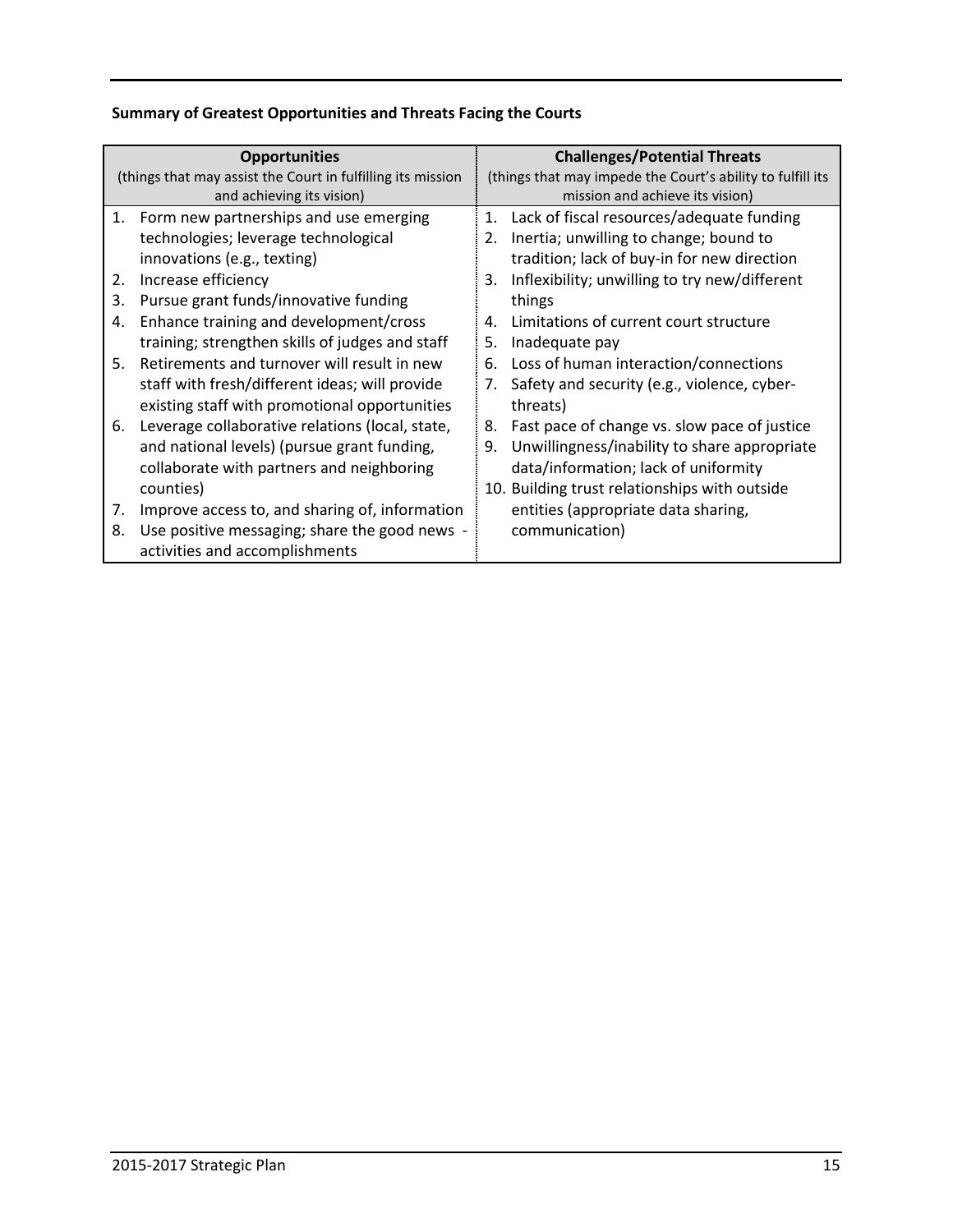# **Summary of Greatest Opportunities and Threats Facing the Courts**

| <b>Opportunities</b>                                        |                                                 | <b>Challenges/Potential Threats</b>                        |                                               |  |
|-------------------------------------------------------------|-------------------------------------------------|------------------------------------------------------------|-----------------------------------------------|--|
| (things that may assist the Court in fulfilling its mission |                                                 | (things that may impede the Court's ability to fulfill its |                                               |  |
|                                                             | and achieving its vision)                       |                                                            | mission and achieve its vision)               |  |
|                                                             | 1. Form new partnerships and use emerging       | 1.                                                         | Lack of fiscal resources/adequate funding     |  |
|                                                             | technologies; leverage technological            | 2.                                                         | Inertia; unwilling to change; bound to        |  |
|                                                             | innovations (e.g., texting)                     |                                                            | tradition; lack of buy-in for new direction   |  |
| 2.                                                          | Increase efficiency                             | 3.                                                         | Inflexibility; unwilling to try new/different |  |
| 3.                                                          | Pursue grant funds/innovative funding           |                                                            | things                                        |  |
| 4.                                                          | Enhance training and development/cross          | 4.                                                         | Limitations of current court structure        |  |
|                                                             | training; strengthen skills of judges and staff | 5.                                                         | Inadequate pay                                |  |
| 5.                                                          | Retirements and turnover will result in new     | 6.                                                         | Loss of human interaction/connections         |  |
|                                                             | staff with fresh/different ideas; will provide  | 7.                                                         | Safety and security (e.g., violence, cyber-   |  |
|                                                             | existing staff with promotional opportunities   |                                                            | threats)                                      |  |
| 6.                                                          | Leverage collaborative relations (local, state, | 8.                                                         | Fast pace of change vs. slow pace of justice  |  |
|                                                             | and national levels) (pursue grant funding,     | 9.                                                         | Unwillingness/inability to share appropriate  |  |
|                                                             | collaborate with partners and neighboring       |                                                            | data/information; lack of uniformity          |  |
|                                                             | counties)                                       |                                                            | 10. Building trust relationships with outside |  |
| 7.                                                          | Improve access to, and sharing of, information  |                                                            | entities (appropriate data sharing,           |  |
| 8.                                                          | Use positive messaging; share the good news -   |                                                            | communication)                                |  |
|                                                             | activities and accomplishments                  |                                                            |                                               |  |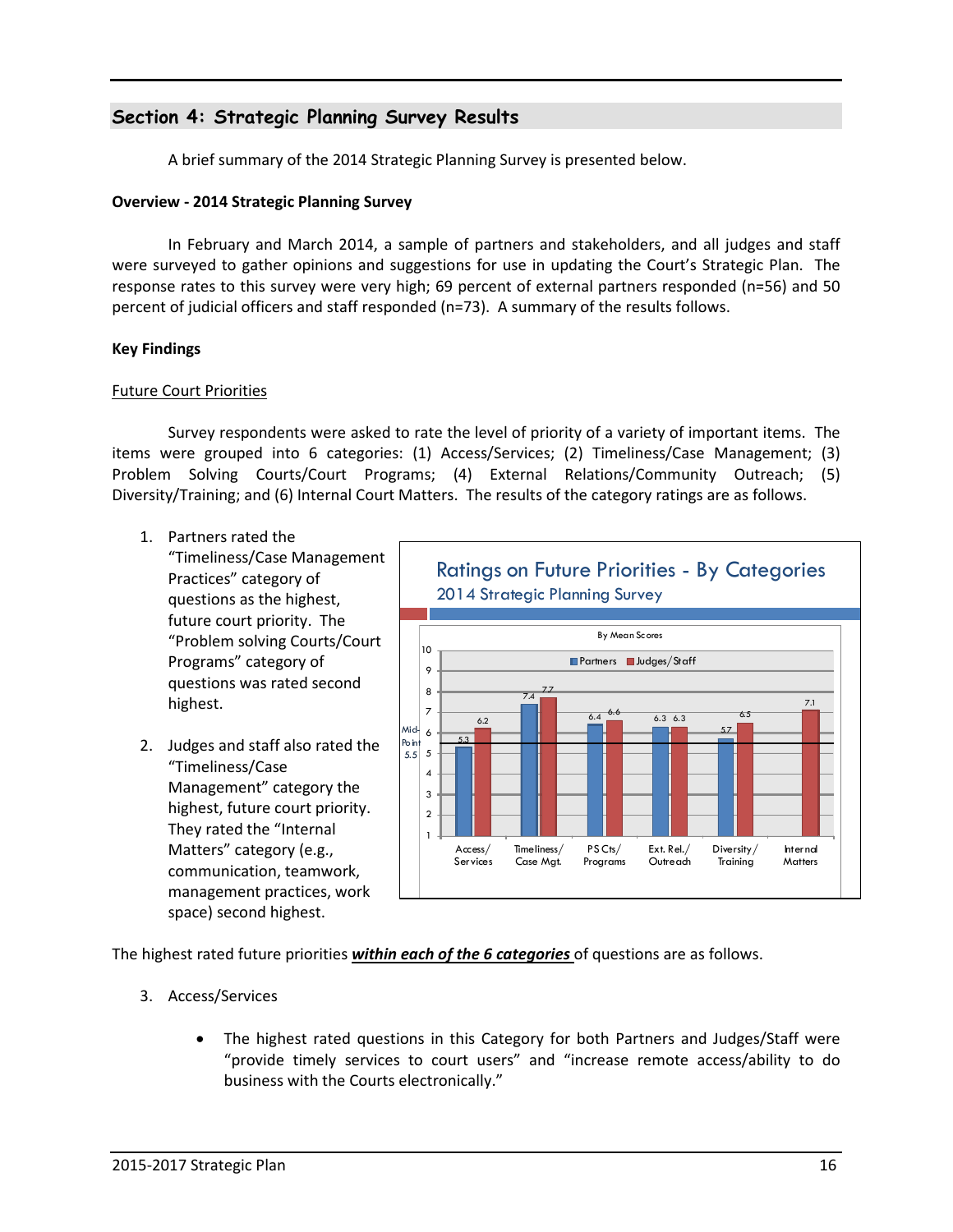# **Section 4: Strategic Planning Survey Results**

A brief summary of the 2014 Strategic Planning Survey is presented below.

#### **Overview - 2014 Strategic Planning Survey**

In February and March 2014, a sample of partners and stakeholders, and all judges and staff were surveyed to gather opinions and suggestions for use in updating the Court's Strategic Plan. The response rates to this survey were very high; 69 percent of external partners responded (n=56) and 50 percent of judicial officers and staff responded (n=73). A summary of the results follows.

#### **Key Findings**

#### Future Court Priorities

 Survey respondents were asked to rate the level of priority of a variety of important items. The items were grouped into 6 categories: (1) Access/Services; (2) Timeliness/Case Management; (3) Problem Solving Courts/Court Programs; (4) External Relations/Community Outreach; (5) Diversity/Training; and (6) Internal Court Matters. The results of the category ratings are as follows.

- 1. Partners rated the "Timeliness/Case Management Practices" category of questions as the highest, future court priority. The "Problem solving Courts/Court Programs" category of questions was rated second highest.
- 2. Judges and staff also rated the "Timeliness/Case Management" category the highest, future court priority. They rated the "Internal Matters" category (e.g., communication, teamwork, management practices, work space) second highest.



The highest rated future priorities *within each of the 6 categories* of questions are as follows.

- 3. Access/Services
	- The highest rated questions in this Category for both Partners and Judges/Staff were "provide timely services to court users" and "increase remote access/ability to do business with the Courts electronically."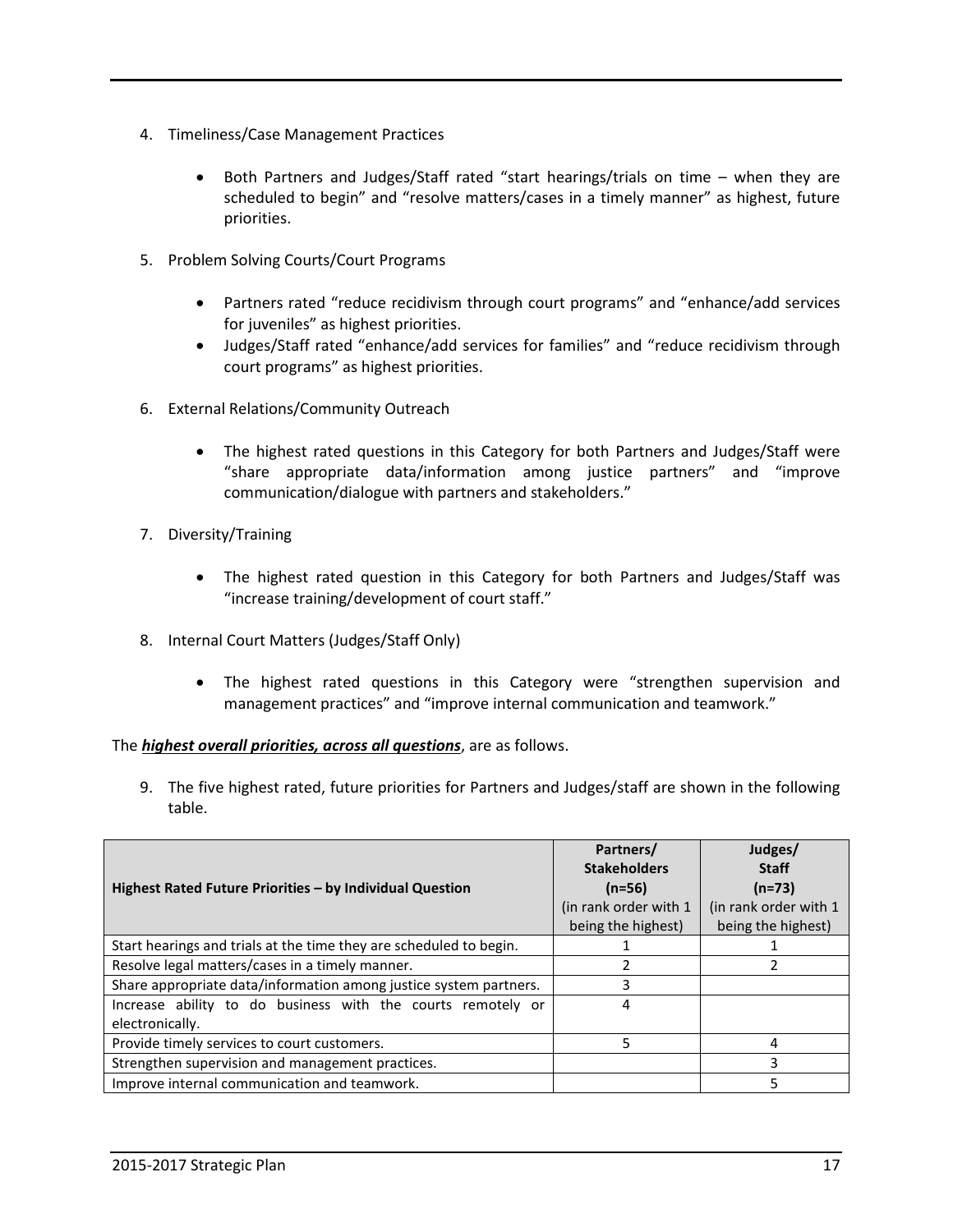- 4. Timeliness/Case Management Practices
	- Both Partners and Judges/Staff rated "start hearings/trials on time when they are scheduled to begin" and "resolve matters/cases in a timely manner" as highest, future priorities.
- 5. Problem Solving Courts/Court Programs
	- Partners rated "reduce recidivism through court programs" and "enhance/add services for juveniles" as highest priorities.
	- Judges/Staff rated "enhance/add services for families" and "reduce recidivism through court programs" as highest priorities.
- 6. External Relations/Community Outreach
	- The highest rated questions in this Category for both Partners and Judges/Staff were "share appropriate data/information among justice partners" and "improve communication/dialogue with partners and stakeholders."
- 7. Diversity/Training
	- The highest rated question in this Category for both Partners and Judges/Staff was "increase training/development of court staff."
- 8. Internal Court Matters (Judges/Staff Only)
	- The highest rated questions in this Category were "strengthen supervision and management practices" and "improve internal communication and teamwork."

#### The *highest overall priorities, across all questions*, are as follows.

9. The five highest rated, future priorities for Partners and Judges/staff are shown in the following table.

|                                                                    | Partners/<br><b>Stakeholders</b> | Judges/<br><b>Staff</b> |
|--------------------------------------------------------------------|----------------------------------|-------------------------|
| Highest Rated Future Priorities - by Individual Question           | $(n=56)$                         | $(n=73)$                |
|                                                                    | (in rank order with 1)           | (in rank order with 1   |
|                                                                    | being the highest)               | being the highest)      |
| Start hearings and trials at the time they are scheduled to begin. |                                  |                         |
| Resolve legal matters/cases in a timely manner.                    |                                  |                         |
| Share appropriate data/information among justice system partners.  | 3                                |                         |
| Increase ability to do business with the courts remotely or        | 4                                |                         |
| electronically.                                                    |                                  |                         |
| Provide timely services to court customers.                        | 5                                | 4                       |
| Strengthen supervision and management practices.                   |                                  |                         |
| Improve internal communication and teamwork.                       |                                  |                         |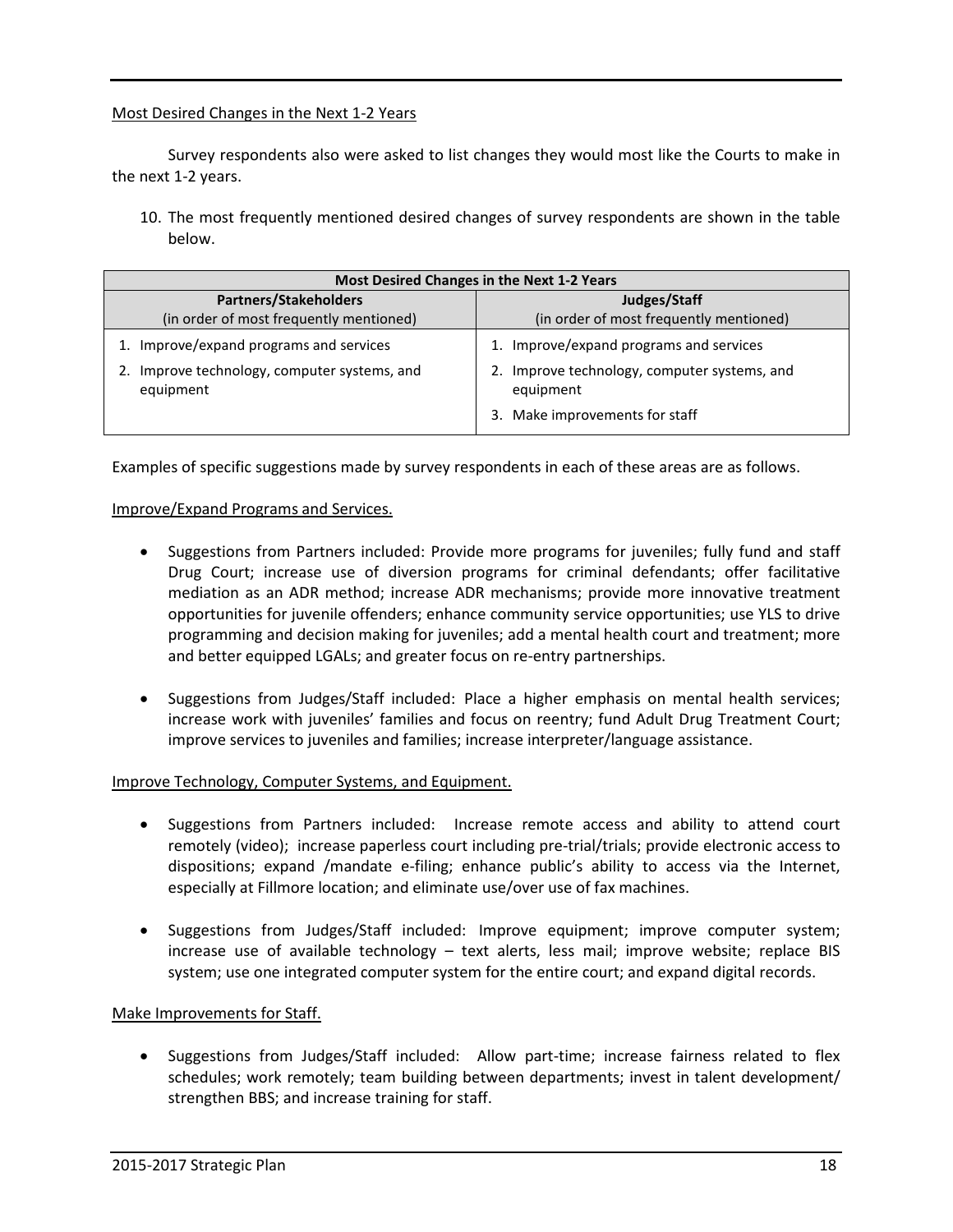#### Most Desired Changes in the Next 1-2 Years

 Survey respondents also were asked to list changes they would most like the Courts to make in the next 1-2 years.

10. The most frequently mentioned desired changes of survey respondents are shown in the table below.

| <b>Most Desired Changes in the Next 1-2 Years</b>      |                                                           |  |  |  |
|--------------------------------------------------------|-----------------------------------------------------------|--|--|--|
| <b>Partners/Stakeholders</b>                           | Judges/Staff                                              |  |  |  |
| (in order of most frequently mentioned)                | (in order of most frequently mentioned)                   |  |  |  |
| Improve/expand programs and services                   | 1. Improve/expand programs and services                   |  |  |  |
| Improve technology, computer systems, and<br>equipment | 2. Improve technology, computer systems, and<br>equipment |  |  |  |
|                                                        | 3. Make improvements for staff                            |  |  |  |

Examples of specific suggestions made by survey respondents in each of these areas are as follows.

#### Improve/Expand Programs and Services.

- Suggestions from Partners included: Provide more programs for juveniles; fully fund and staff Drug Court; increase use of diversion programs for criminal defendants; offer facilitative mediation as an ADR method; increase ADR mechanisms; provide more innovative treatment opportunities for juvenile offenders; enhance community service opportunities; use YLS to drive programming and decision making for juveniles; add a mental health court and treatment; more and better equipped LGALs; and greater focus on re-entry partnerships.
- Suggestions from Judges/Staff included: Place a higher emphasis on mental health services; increase work with juveniles' families and focus on reentry; fund Adult Drug Treatment Court; improve services to juveniles and families; increase interpreter/language assistance.

#### Improve Technology, Computer Systems, and Equipment.

- Suggestions from Partners included: Increase remote access and ability to attend court remotely (video); increase paperless court including pre-trial/trials; provide electronic access to dispositions; expand /mandate e-filing; enhance public's ability to access via the Internet, especially at Fillmore location; and eliminate use/over use of fax machines.
- Suggestions from Judges/Staff included: Improve equipment; improve computer system; increase use of available technology – text alerts, less mail; improve website; replace BIS system; use one integrated computer system for the entire court; and expand digital records.

#### Make Improvements for Staff.

• Suggestions from Judges/Staff included: Allow part-time; increase fairness related to flex schedules; work remotely; team building between departments; invest in talent development/ strengthen BBS; and increase training for staff.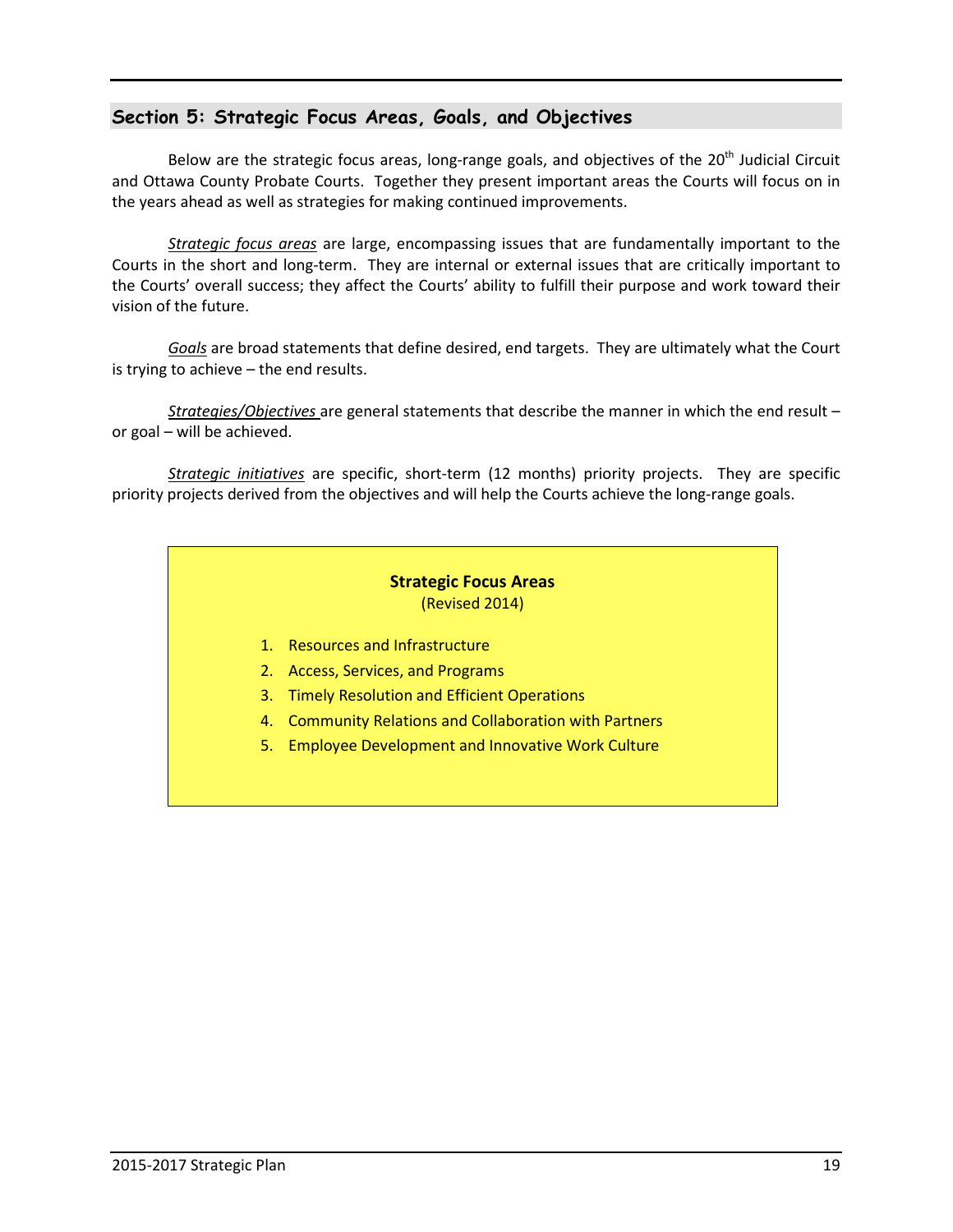# **Section 5: Strategic Focus Areas, Goals, and Objectives**

Below are the strategic focus areas, long-range goals, and objectives of the 20<sup>th</sup> Judicial Circuit and Ottawa County Probate Courts. Together they present important areas the Courts will focus on in the years ahead as well as strategies for making continued improvements.

*Strategic focus areas* are large, encompassing issues that are fundamentally important to the Courts in the short and long-term. They are internal or external issues that are critically important to the Courts' overall success; they affect the Courts' ability to fulfill their purpose and work toward their vision of the future.

*Goals* are broad statements that define desired, end targets. They are ultimately what the Court is trying to achieve – the end results.

*Strategies/Objectives* are general statements that describe the manner in which the end result – or goal – will be achieved.

*Strategic initiatives* are specific, short-term (12 months) priority projects. They are specific priority projects derived from the objectives and will help the Courts achieve the long-range goals.

#### **Strategic Focus Areas**  (Revised 2014)

- 1. Resources and Infrastructure
- 2. Access, Services, and Programs
- 3. Timely Resolution and Efficient Operations
- 4. Community Relations and Collaboration with Partners
- 5. Employee Development and Innovative Work Culture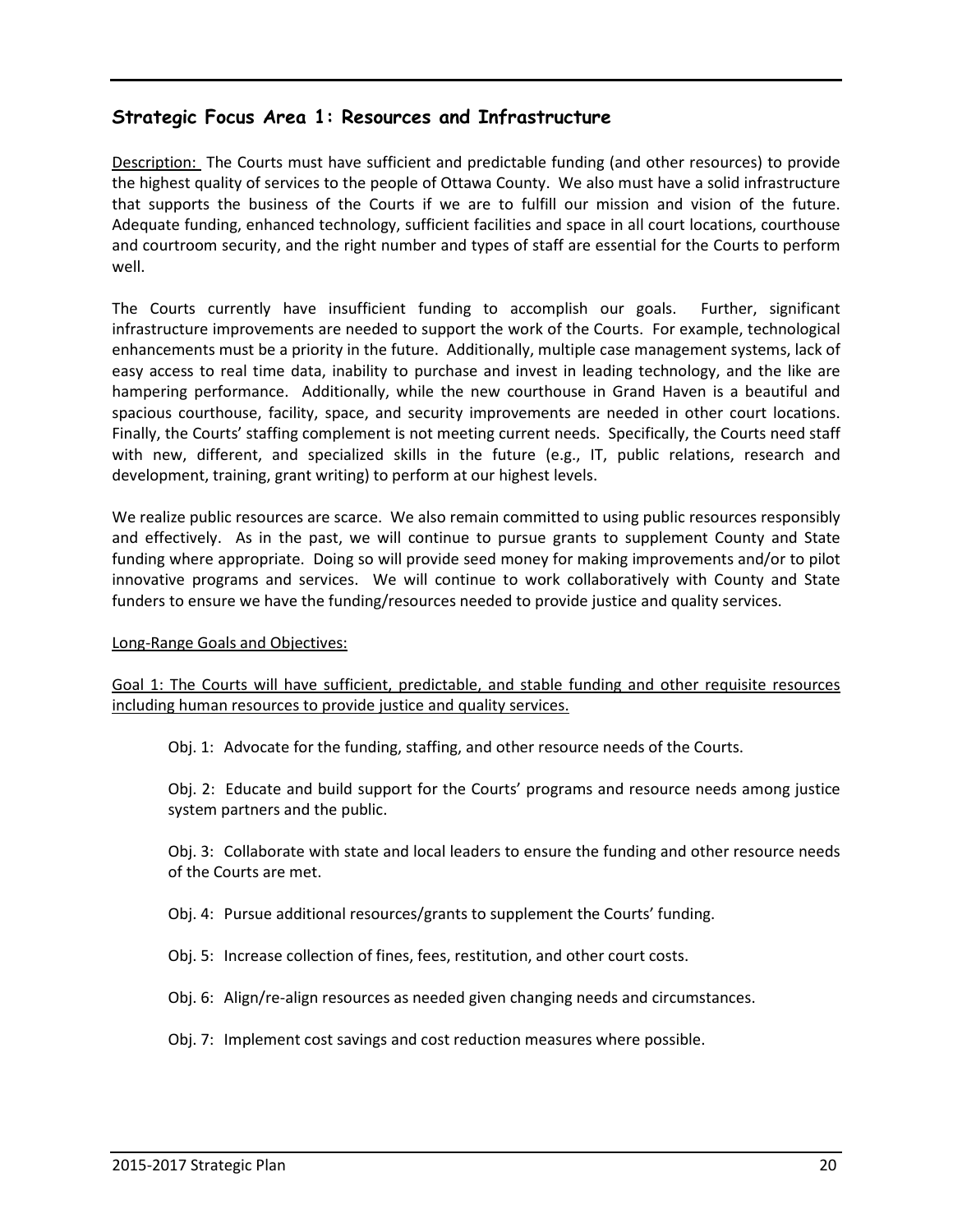# **Strategic Focus Area 1: Resources and Infrastructure**

Description: The Courts must have sufficient and predictable funding (and other resources) to provide the highest quality of services to the people of Ottawa County. We also must have a solid infrastructure that supports the business of the Courts if we are to fulfill our mission and vision of the future. Adequate funding, enhanced technology, sufficient facilities and space in all court locations, courthouse and courtroom security, and the right number and types of staff are essential for the Courts to perform well.

The Courts currently have insufficient funding to accomplish our goals. Further, significant infrastructure improvements are needed to support the work of the Courts. For example, technological enhancements must be a priority in the future. Additionally, multiple case management systems, lack of easy access to real time data, inability to purchase and invest in leading technology, and the like are hampering performance. Additionally, while the new courthouse in Grand Haven is a beautiful and spacious courthouse, facility, space, and security improvements are needed in other court locations. Finally, the Courts' staffing complement is not meeting current needs. Specifically, the Courts need staff with new, different, and specialized skills in the future (e.g., IT, public relations, research and development, training, grant writing) to perform at our highest levels.

We realize public resources are scarce. We also remain committed to using public resources responsibly and effectively. As in the past, we will continue to pursue grants to supplement County and State funding where appropriate. Doing so will provide seed money for making improvements and/or to pilot innovative programs and services. We will continue to work collaboratively with County and State funders to ensure we have the funding/resources needed to provide justice and quality services.

#### Long-Range Goals and Objectives:

Goal 1: The Courts will have sufficient, predictable, and stable funding and other requisite resources including human resources to provide justice and quality services.

Obj. 1: Advocate for the funding, staffing, and other resource needs of the Courts.

Obj. 2: Educate and build support for the Courts' programs and resource needs among justice system partners and the public.

Obj. 3: Collaborate with state and local leaders to ensure the funding and other resource needs of the Courts are met.

Obj. 4: Pursue additional resources/grants to supplement the Courts' funding.

Obj. 5: Increase collection of fines, fees, restitution, and other court costs.

Obj. 6: Align/re-align resources as needed given changing needs and circumstances.

Obj. 7: Implement cost savings and cost reduction measures where possible.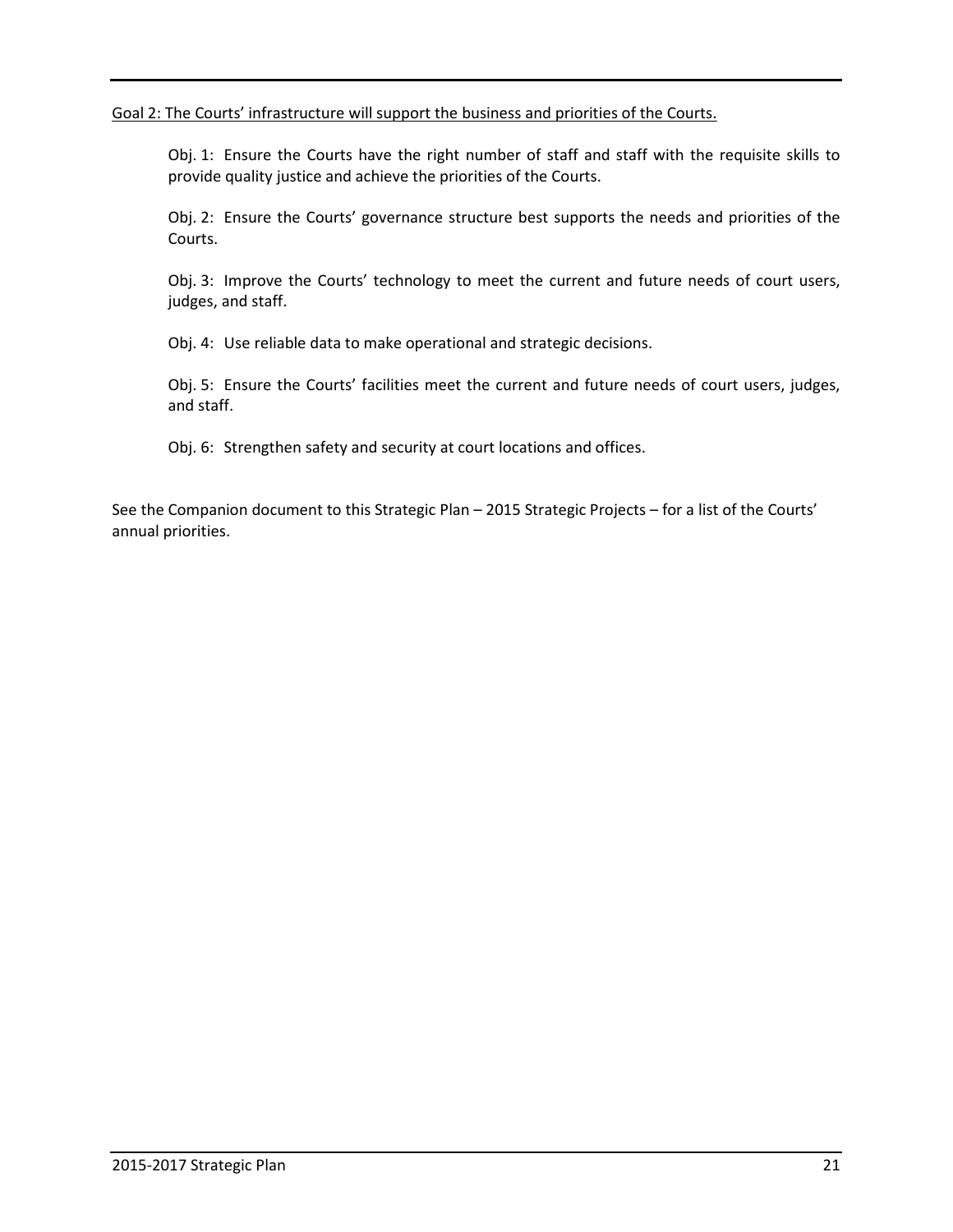Goal 2: The Courts' infrastructure will support the business and priorities of the Courts.

Obj. 1: Ensure the Courts have the right number of staff and staff with the requisite skills to provide quality justice and achieve the priorities of the Courts.

Obj. 2: Ensure the Courts' governance structure best supports the needs and priorities of the Courts.

Obj. 3: Improve the Courts' technology to meet the current and future needs of court users, judges, and staff.

Obj. 4: Use reliable data to make operational and strategic decisions.

Obj. 5: Ensure the Courts' facilities meet the current and future needs of court users, judges, and staff.

Obj. 6: Strengthen safety and security at court locations and offices.

See the Companion document to this Strategic Plan – 2015 Strategic Projects – for a list of the Courts' annual priorities.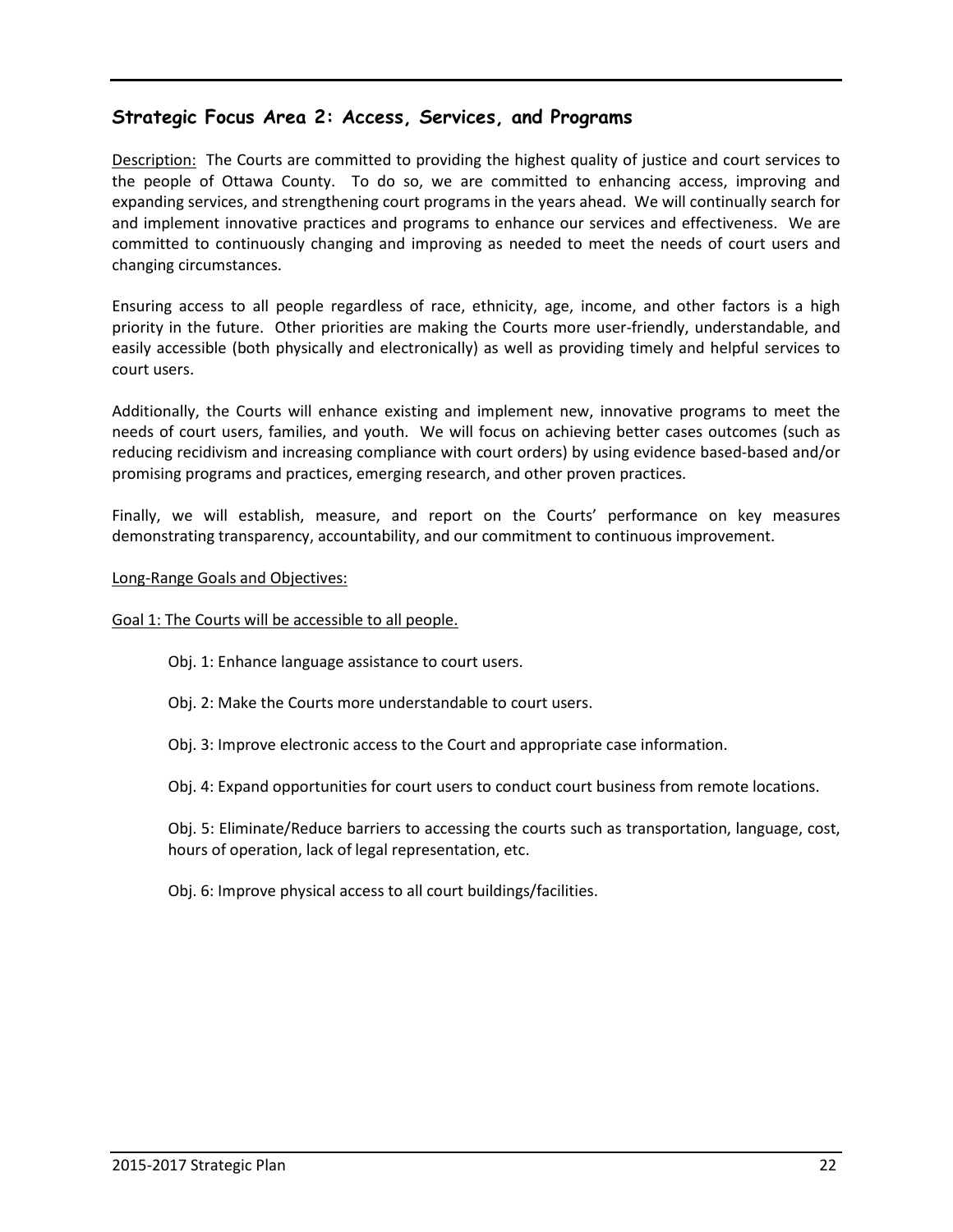# **Strategic Focus Area 2: Access, Services, and Programs**

Description: The Courts are committed to providing the highest quality of justice and court services to the people of Ottawa County. To do so, we are committed to enhancing access, improving and expanding services, and strengthening court programs in the years ahead. We will continually search for and implement innovative practices and programs to enhance our services and effectiveness. We are committed to continuously changing and improving as needed to meet the needs of court users and changing circumstances.

Ensuring access to all people regardless of race, ethnicity, age, income, and other factors is a high priority in the future. Other priorities are making the Courts more user-friendly, understandable, and easily accessible (both physically and electronically) as well as providing timely and helpful services to court users.

Additionally, the Courts will enhance existing and implement new, innovative programs to meet the needs of court users, families, and youth. We will focus on achieving better cases outcomes (such as reducing recidivism and increasing compliance with court orders) by using evidence based-based and/or promising programs and practices, emerging research, and other proven practices.

Finally, we will establish, measure, and report on the Courts' performance on key measures demonstrating transparency, accountability, and our commitment to continuous improvement.

#### Long-Range Goals and Objectives:

#### Goal 1: The Courts will be accessible to all people.

- Obj. 1: Enhance language assistance to court users.
- Obj. 2: Make the Courts more understandable to court users.
- Obj. 3: Improve electronic access to the Court and appropriate case information.
- Obj. 4: Expand opportunities for court users to conduct court business from remote locations.

 Obj. 5: Eliminate/Reduce barriers to accessing the courts such as transportation, language, cost, hours of operation, lack of legal representation, etc.

Obj. 6: Improve physical access to all court buildings/facilities.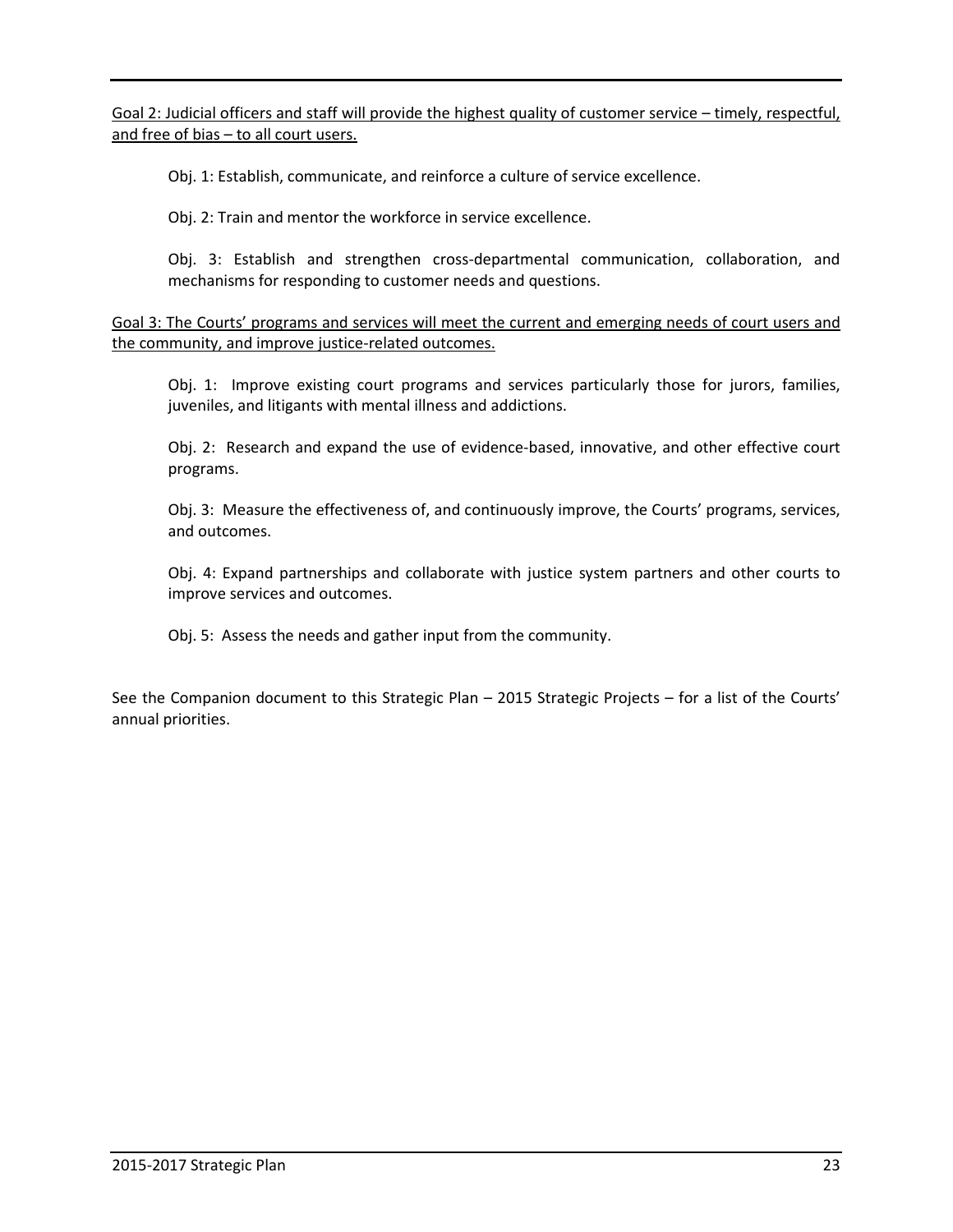Goal 2: Judicial officers and staff will provide the highest quality of customer service – timely, respectful, and free of bias – to all court users.

Obj. 1: Establish, communicate, and reinforce a culture of service excellence.

Obj. 2: Train and mentor the workforce in service excellence.

 Obj. 3: Establish and strengthen cross-departmental communication, collaboration, and mechanisms for responding to customer needs and questions.

Goal 3: The Courts' programs and services will meet the current and emerging needs of court users and the community, and improve justice-related outcomes.

 Obj. 1: Improve existing court programs and services particularly those for jurors, families, juveniles, and litigants with mental illness and addictions.

 Obj. 2: Research and expand the use of evidence-based, innovative, and other effective court programs.

 Obj. 3: Measure the effectiveness of, and continuously improve, the Courts' programs, services, and outcomes.

 Obj. 4: Expand partnerships and collaborate with justice system partners and other courts to improve services and outcomes.

Obj. 5: Assess the needs and gather input from the community.

See the Companion document to this Strategic Plan – 2015 Strategic Projects – for a list of the Courts' annual priorities.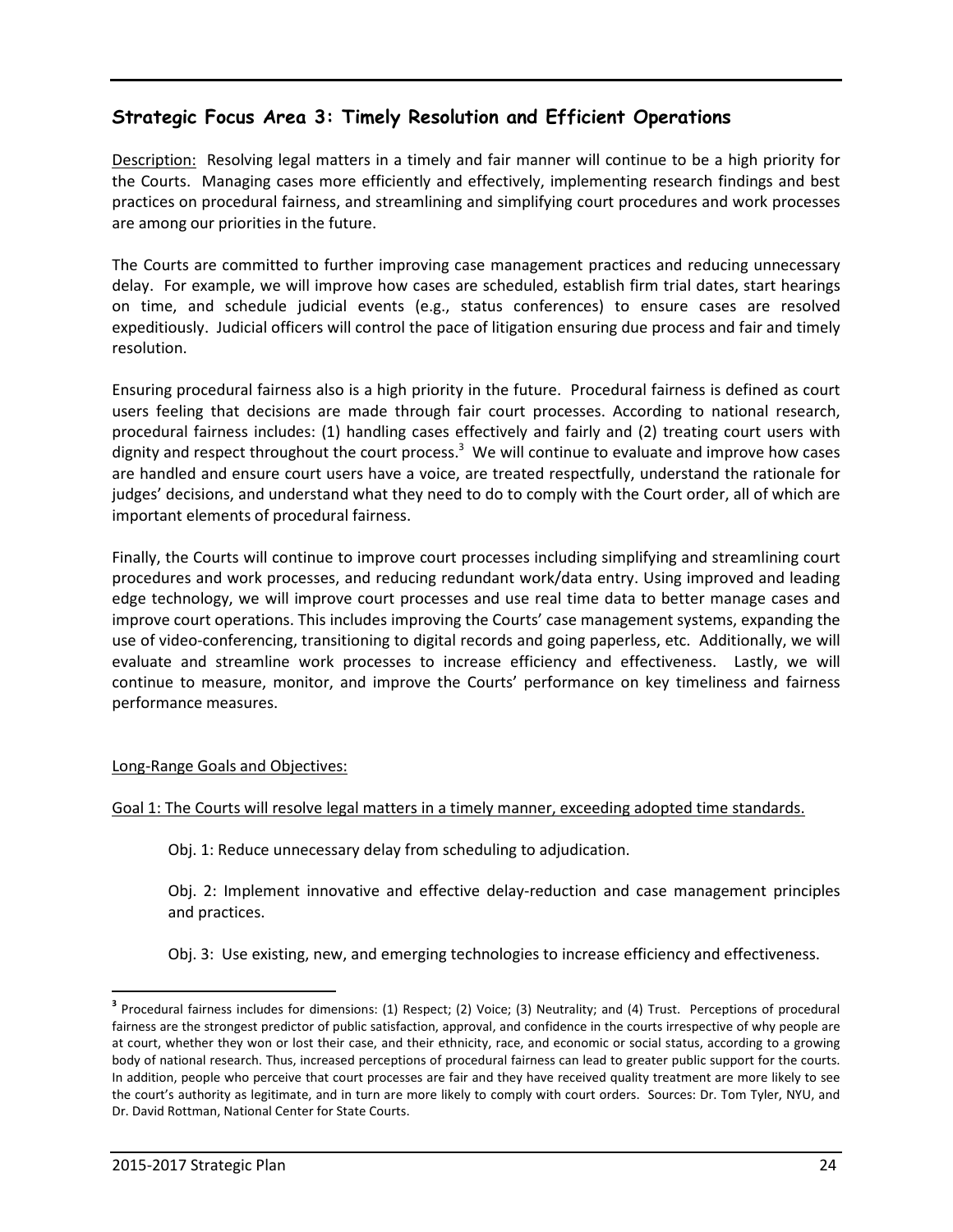# **Strategic Focus Area 3: Timely Resolution and Efficient Operations**

Description: Resolving legal matters in a timely and fair manner will continue to be a high priority for the Courts. Managing cases more efficiently and effectively, implementing research findings and best practices on procedural fairness, and streamlining and simplifying court procedures and work processes are among our priorities in the future.

The Courts are committed to further improving case management practices and reducing unnecessary delay. For example, we will improve how cases are scheduled, establish firm trial dates, start hearings on time, and schedule judicial events (e.g., status conferences) to ensure cases are resolved expeditiously. Judicial officers will control the pace of litigation ensuring due process and fair and timely resolution.

Ensuring procedural fairness also is a high priority in the future. Procedural fairness is defined as court users feeling that decisions are made through fair court processes. According to national research, procedural fairness includes: (1) handling cases effectively and fairly and (2) treating court users with dignity and respect throughout the court process.<sup>3</sup> We will continue to evaluate and improve how cases are handled and ensure court users have a voice, are treated respectfully, understand the rationale for judges' decisions, and understand what they need to do to comply with the Court order, all of which are important elements of procedural fairness.

Finally, the Courts will continue to improve court processes including simplifying and streamlining court procedures and work processes, and reducing redundant work/data entry. Using improved and leading edge technology, we will improve court processes and use real time data to better manage cases and improve court operations. This includes improving the Courts' case management systems, expanding the use of video-conferencing, transitioning to digital records and going paperless, etc. Additionally, we will evaluate and streamline work processes to increase efficiency and effectiveness. Lastly, we will continue to measure, monitor, and improve the Courts' performance on key timeliness and fairness performance measures.

#### Long-Range Goals and Objectives:

#### Goal 1: The Courts will resolve legal matters in a timely manner, exceeding adopted time standards.

Obj. 1: Reduce unnecessary delay from scheduling to adjudication.

 Obj. 2: Implement innovative and effective delay-reduction and case management principles and practices.

Obj. 3: Use existing, new, and emerging technologies to increase efficiency and effectiveness.

 $\overline{a}$ 

<sup>&</sup>lt;sup>3</sup> Procedural fairness includes for dimensions: (1) Respect; (2) Voice; (3) Neutrality; and (4) Trust. Perceptions of procedural fairness are the strongest predictor of public satisfaction, approval, and confidence in the courts irrespective of why people are at court, whether they won or lost their case, and their ethnicity, race, and economic or social status, according to a growing body of national research. Thus, increased perceptions of procedural fairness can lead to greater public support for the courts. In addition, people who perceive that court processes are fair and they have received quality treatment are more likely to see the court's authority as legitimate, and in turn are more likely to comply with court orders. Sources: Dr. Tom Tyler, NYU, and Dr. David Rottman, National Center for State Courts.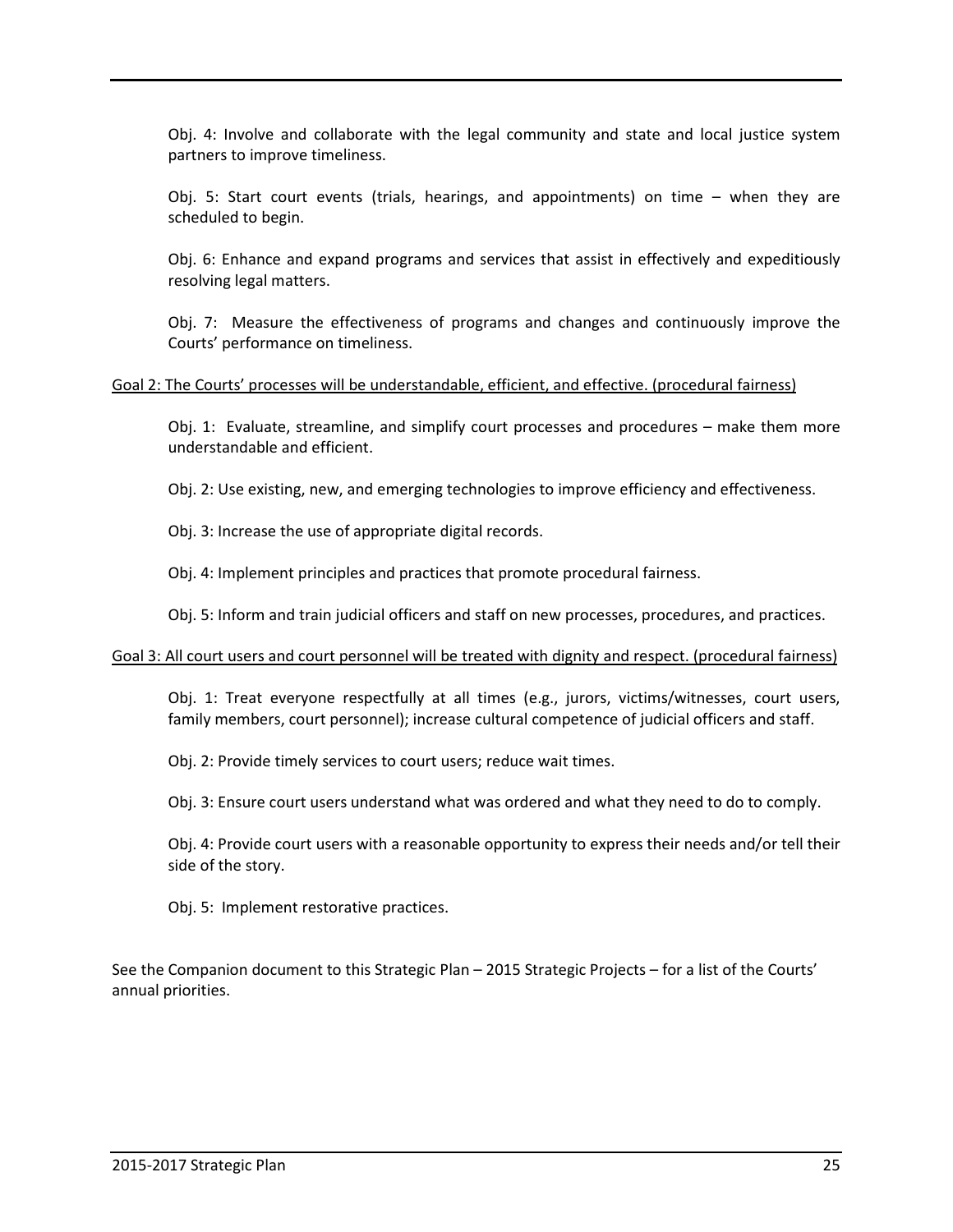Obj. 4: Involve and collaborate with the legal community and state and local justice system partners to improve timeliness.

 Obj. 5: Start court events (trials, hearings, and appointments) on time – when they are scheduled to begin.

 Obj. 6: Enhance and expand programs and services that assist in effectively and expeditiously resolving legal matters.

 Obj. 7: Measure the effectiveness of programs and changes and continuously improve the Courts' performance on timeliness.

#### Goal 2: The Courts' processes will be understandable, efficient, and effective. (procedural fairness)

 Obj. 1: Evaluate, streamline, and simplify court processes and procedures – make them more understandable and efficient.

Obj. 2: Use existing, new, and emerging technologies to improve efficiency and effectiveness.

Obj. 3: Increase the use of appropriate digital records.

Obj. 4: Implement principles and practices that promote procedural fairness.

Obj. 5: Inform and train judicial officers and staff on new processes, procedures, and practices.

#### Goal 3: All court users and court personnel will be treated with dignity and respect. (procedural fairness)

 Obj. 1: Treat everyone respectfully at all times (e.g., jurors, victims/witnesses, court users, family members, court personnel); increase cultural competence of judicial officers and staff.

Obj. 2: Provide timely services to court users; reduce wait times.

Obj. 3: Ensure court users understand what was ordered and what they need to do to comply.

 Obj. 4: Provide court users with a reasonable opportunity to express their needs and/or tell their side of the story.

Obj. 5: Implement restorative practices.

See the Companion document to this Strategic Plan – 2015 Strategic Projects – for a list of the Courts' annual priorities.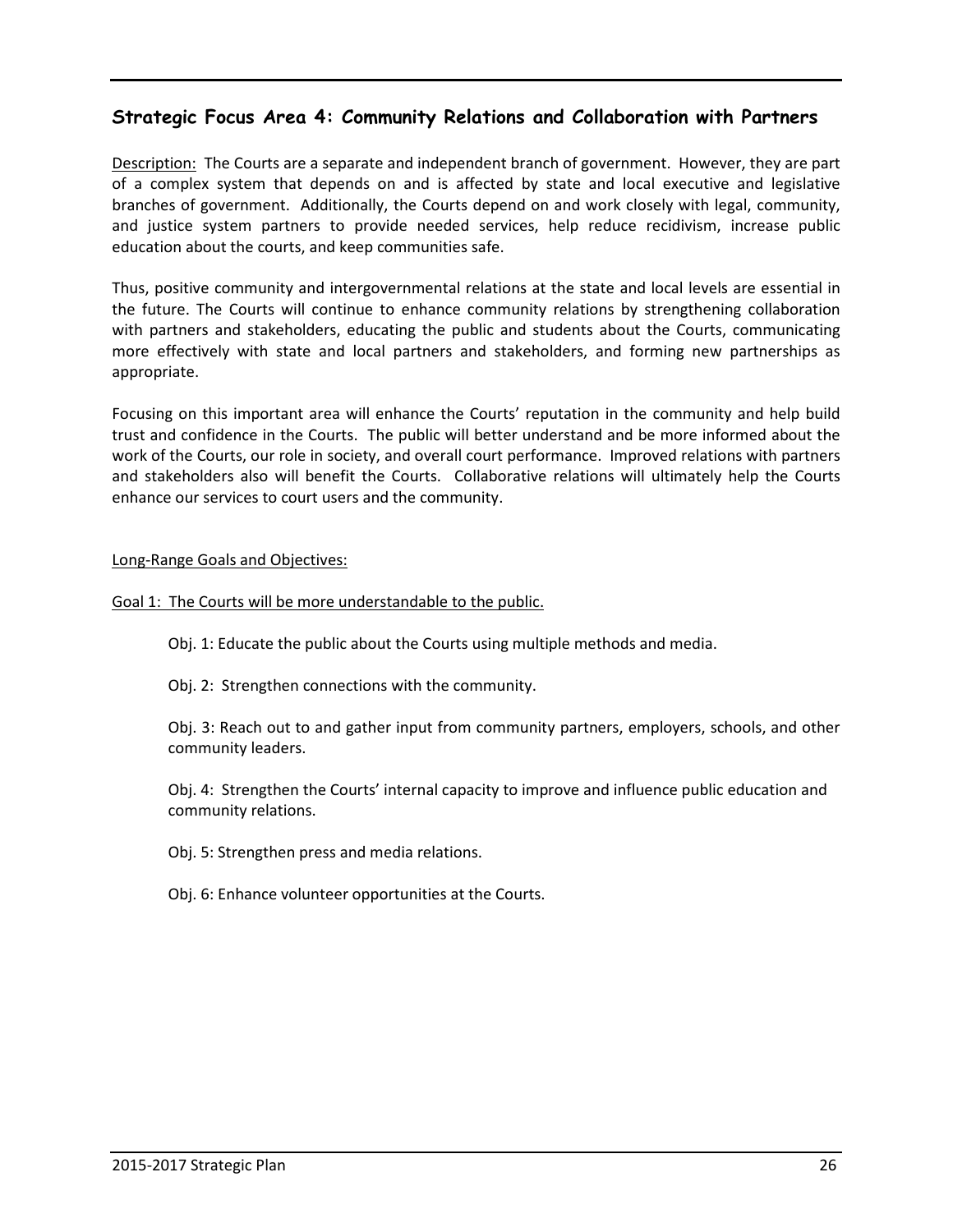# **Strategic Focus Area 4: Community Relations and Collaboration with Partners**

Description: The Courts are a separate and independent branch of government. However, they are part of a complex system that depends on and is affected by state and local executive and legislative branches of government. Additionally, the Courts depend on and work closely with legal, community, and justice system partners to provide needed services, help reduce recidivism, increase public education about the courts, and keep communities safe.

Thus, positive community and intergovernmental relations at the state and local levels are essential in the future. The Courts will continue to enhance community relations by strengthening collaboration with partners and stakeholders, educating the public and students about the Courts, communicating more effectively with state and local partners and stakeholders, and forming new partnerships as appropriate.

Focusing on this important area will enhance the Courts' reputation in the community and help build trust and confidence in the Courts. The public will better understand and be more informed about the work of the Courts, our role in society, and overall court performance. Improved relations with partners and stakeholders also will benefit the Courts. Collaborative relations will ultimately help the Courts enhance our services to court users and the community.

#### Long-Range Goals and Objectives:

#### Goal 1: The Courts will be more understandable to the public.

Obj. 1: Educate the public about the Courts using multiple methods and media.

Obj. 2: Strengthen connections with the community.

Obj. 3: Reach out to and gather input from community partners, employers, schools, and other community leaders.

 Obj. 4: Strengthen the Courts' internal capacity to improve and influence public education and community relations.

Obj. 5: Strengthen press and media relations.

Obj. 6: Enhance volunteer opportunities at the Courts.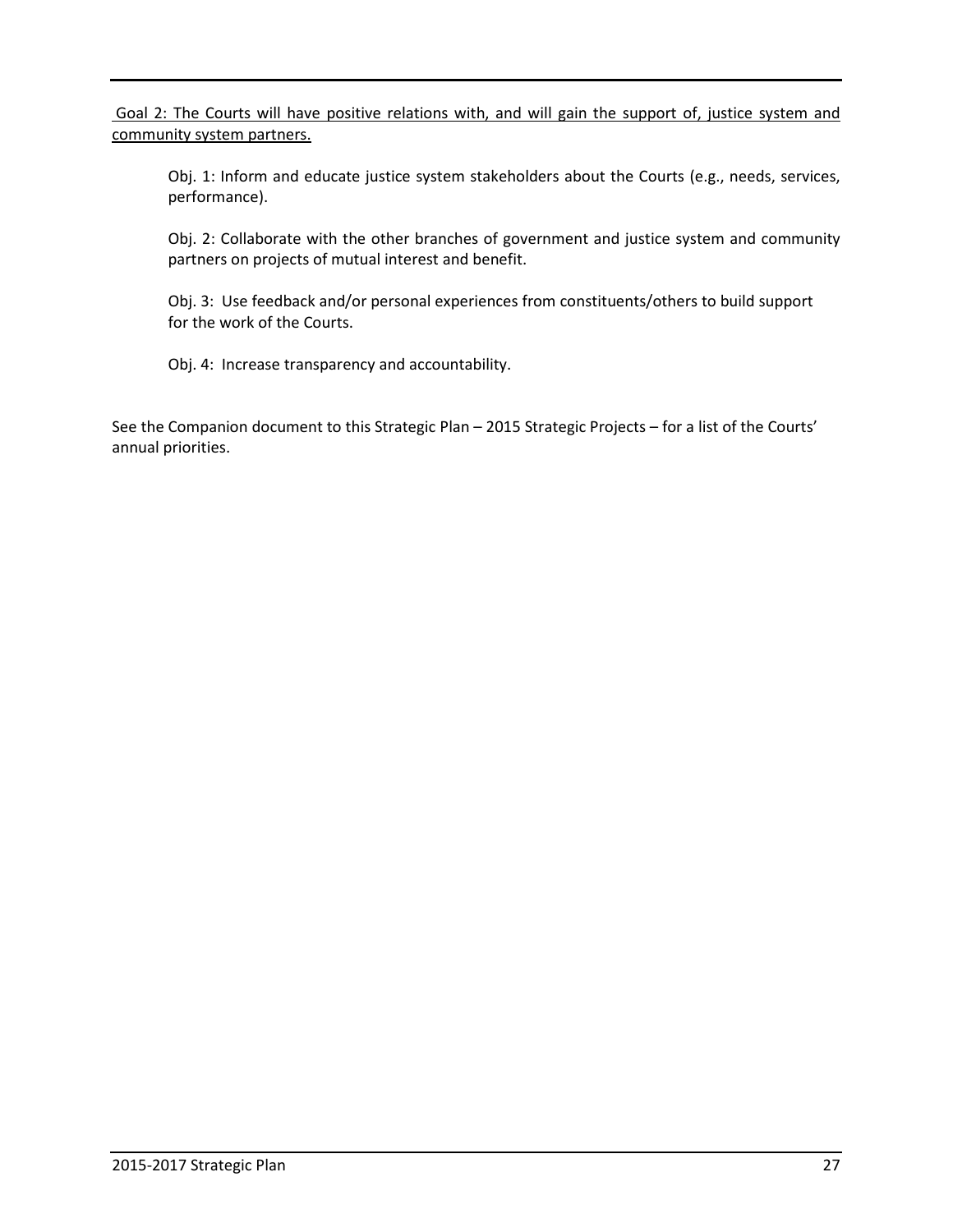Goal 2: The Courts will have positive relations with, and will gain the support of, justice system and community system partners.

Obj. 1: Inform and educate justice system stakeholders about the Courts (e.g., needs, services, performance).

 Obj. 2: Collaborate with the other branches of government and justice system and community partners on projects of mutual interest and benefit.

 Obj. 3: Use feedback and/or personal experiences from constituents/others to build support for the work of the Courts.

Obj. 4: Increase transparency and accountability.

See the Companion document to this Strategic Plan – 2015 Strategic Projects – for a list of the Courts' annual priorities.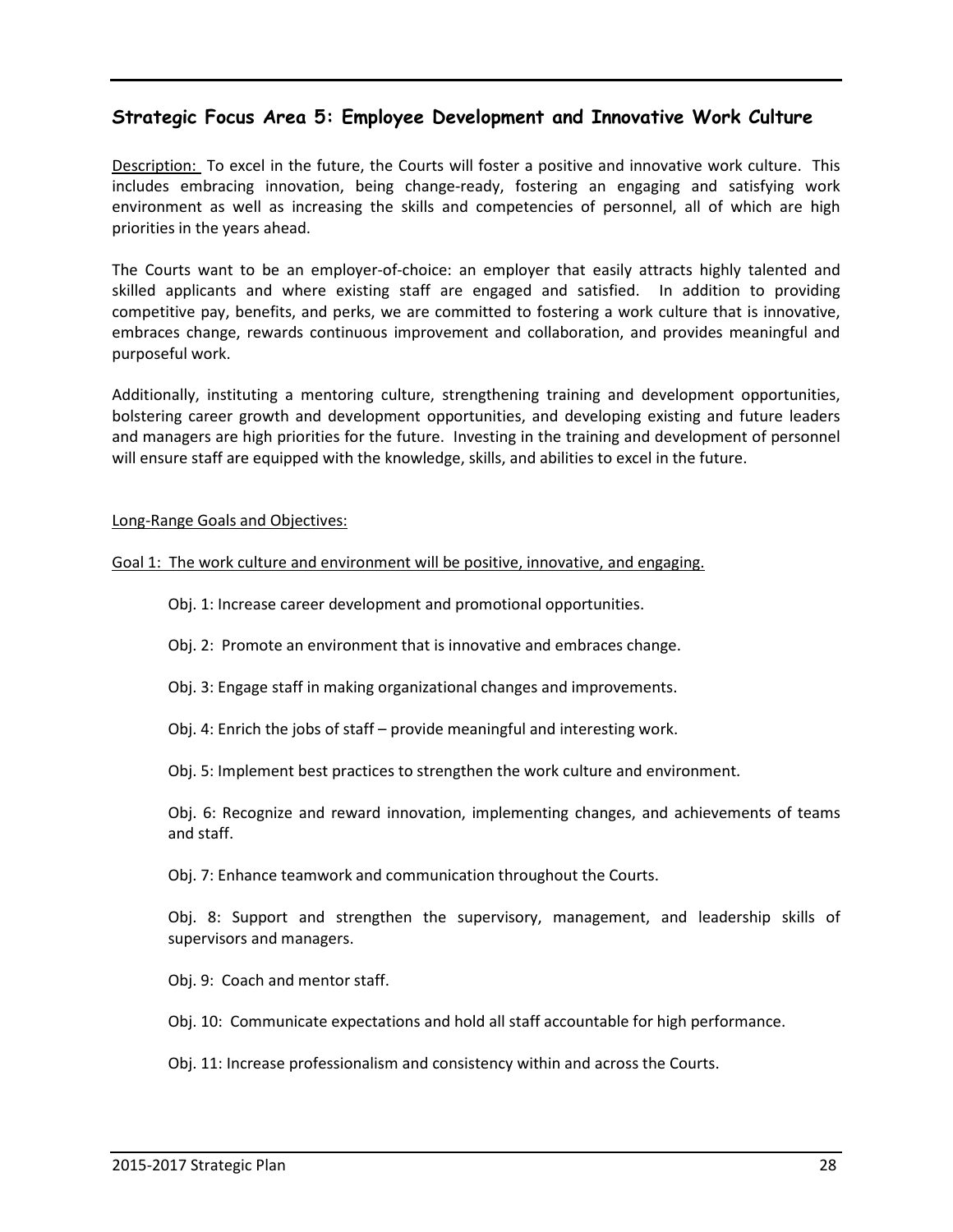# **Strategic Focus Area 5: Employee Development and Innovative Work Culture**

Description: To excel in the future, the Courts will foster a positive and innovative work culture. This includes embracing innovation, being change-ready, fostering an engaging and satisfying work environment as well as increasing the skills and competencies of personnel, all of which are high priorities in the years ahead.

The Courts want to be an employer-of-choice: an employer that easily attracts highly talented and skilled applicants and where existing staff are engaged and satisfied. In addition to providing competitive pay, benefits, and perks, we are committed to fostering a work culture that is innovative, embraces change, rewards continuous improvement and collaboration, and provides meaningful and purposeful work.

Additionally, instituting a mentoring culture, strengthening training and development opportunities, bolstering career growth and development opportunities, and developing existing and future leaders and managers are high priorities for the future. Investing in the training and development of personnel will ensure staff are equipped with the knowledge, skills, and abilities to excel in the future.

#### Long-Range Goals and Objectives:

#### Goal 1: The work culture and environment will be positive, innovative, and engaging.

Obj. 1: Increase career development and promotional opportunities.

Obj. 2: Promote an environment that is innovative and embraces change.

Obj. 3: Engage staff in making organizational changes and improvements.

Obj. 4: Enrich the jobs of staff – provide meaningful and interesting work.

Obj. 5: Implement best practices to strengthen the work culture and environment.

 Obj. 6: Recognize and reward innovation, implementing changes, and achievements of teams and staff.

Obj. 7: Enhance teamwork and communication throughout the Courts.

 Obj. 8: Support and strengthen the supervisory, management, and leadership skills of supervisors and managers.

Obj. 9: Coach and mentor staff.

Obj. 10: Communicate expectations and hold all staff accountable for high performance.

Obj. 11: Increase professionalism and consistency within and across the Courts.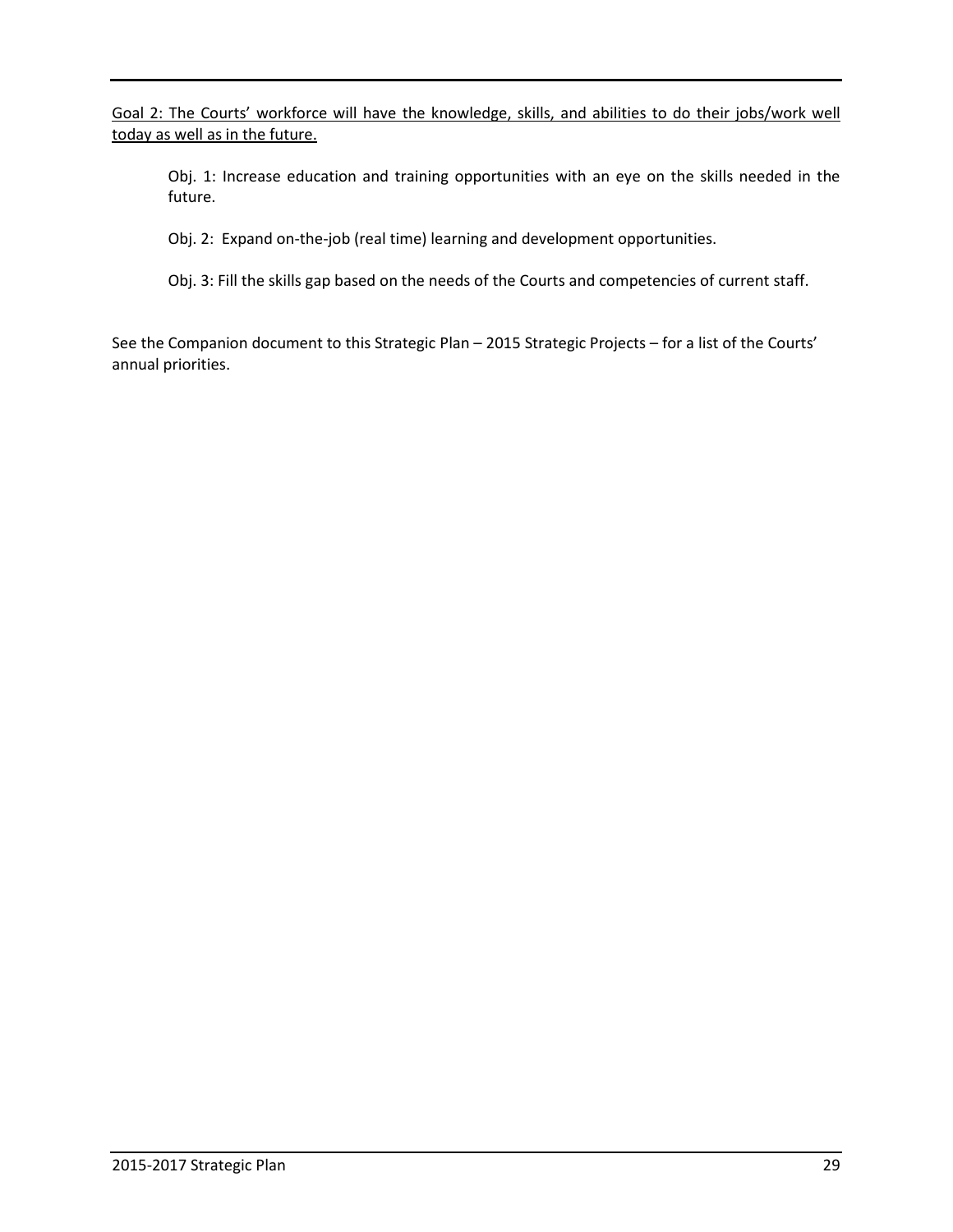Goal 2: The Courts' workforce will have the knowledge, skills, and abilities to do their jobs/work well today as well as in the future.

 Obj. 1: Increase education and training opportunities with an eye on the skills needed in the future.

Obj. 2: Expand on-the-job (real time) learning and development opportunities.

Obj. 3: Fill the skills gap based on the needs of the Courts and competencies of current staff.

See the Companion document to this Strategic Plan – 2015 Strategic Projects – for a list of the Courts' annual priorities.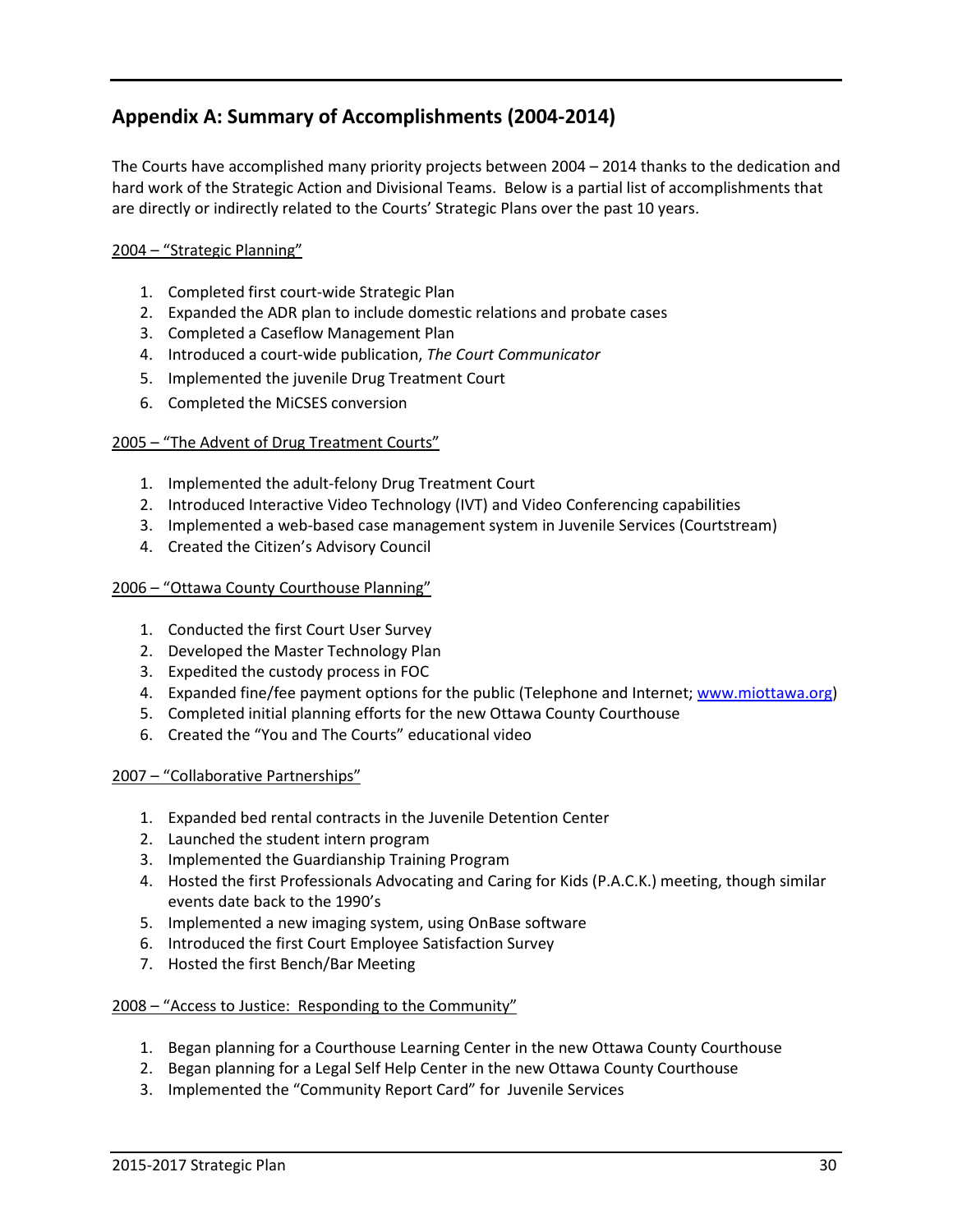# **Appendix A: Summary of Accomplishments (2004-2014)**

The Courts have accomplished many priority projects between 2004 – 2014 thanks to the dedication and hard work of the Strategic Action and Divisional Teams. Below is a partial list of accomplishments that are directly or indirectly related to the Courts' Strategic Plans over the past 10 years.

#### 2004 – "Strategic Planning"

- 1. Completed first court-wide Strategic Plan
- 2. Expanded the ADR plan to include domestic relations and probate cases
- 3. Completed a Caseflow Management Plan
- 4. Introduced a court-wide publication, *The Court Communicator*
- 5. Implemented the juvenile Drug Treatment Court
- 6. Completed the MiCSES conversion

#### 2005 – "The Advent of Drug Treatment Courts"

- 1. Implemented the adult-felony Drug Treatment Court
- 2. Introduced Interactive Video Technology (IVT) and Video Conferencing capabilities
- 3. Implemented a web-based case management system in Juvenile Services (Courtstream)
- 4. Created the Citizen's Advisory Council

#### 2006 – "Ottawa County Courthouse Planning"

- 1. Conducted the first Court User Survey
- 2. Developed the Master Technology Plan
- 3. Expedited the custody process in FOC
- 4. Expanded fine/fee payment options for the public (Telephone and Internet; www.miottawa.org)
- 5. Completed initial planning efforts for the new Ottawa County Courthouse
- 6. Created the "You and The Courts" educational video

#### 2007 – "Collaborative Partnerships"

- 1. Expanded bed rental contracts in the Juvenile Detention Center
- 2. Launched the student intern program
- 3. Implemented the Guardianship Training Program
- 4. Hosted the first Professionals Advocating and Caring for Kids (P.A.C.K.) meeting, though similar events date back to the 1990's
- 5. Implemented a new imaging system, using OnBase software
- 6. Introduced the first Court Employee Satisfaction Survey
- 7. Hosted the first Bench/Bar Meeting

#### 2008 – "Access to Justice: Responding to the Community"

- 1. Began planning for a Courthouse Learning Center in the new Ottawa County Courthouse
- 2. Began planning for a Legal Self Help Center in the new Ottawa County Courthouse
- 3. Implemented the "Community Report Card" for Juvenile Services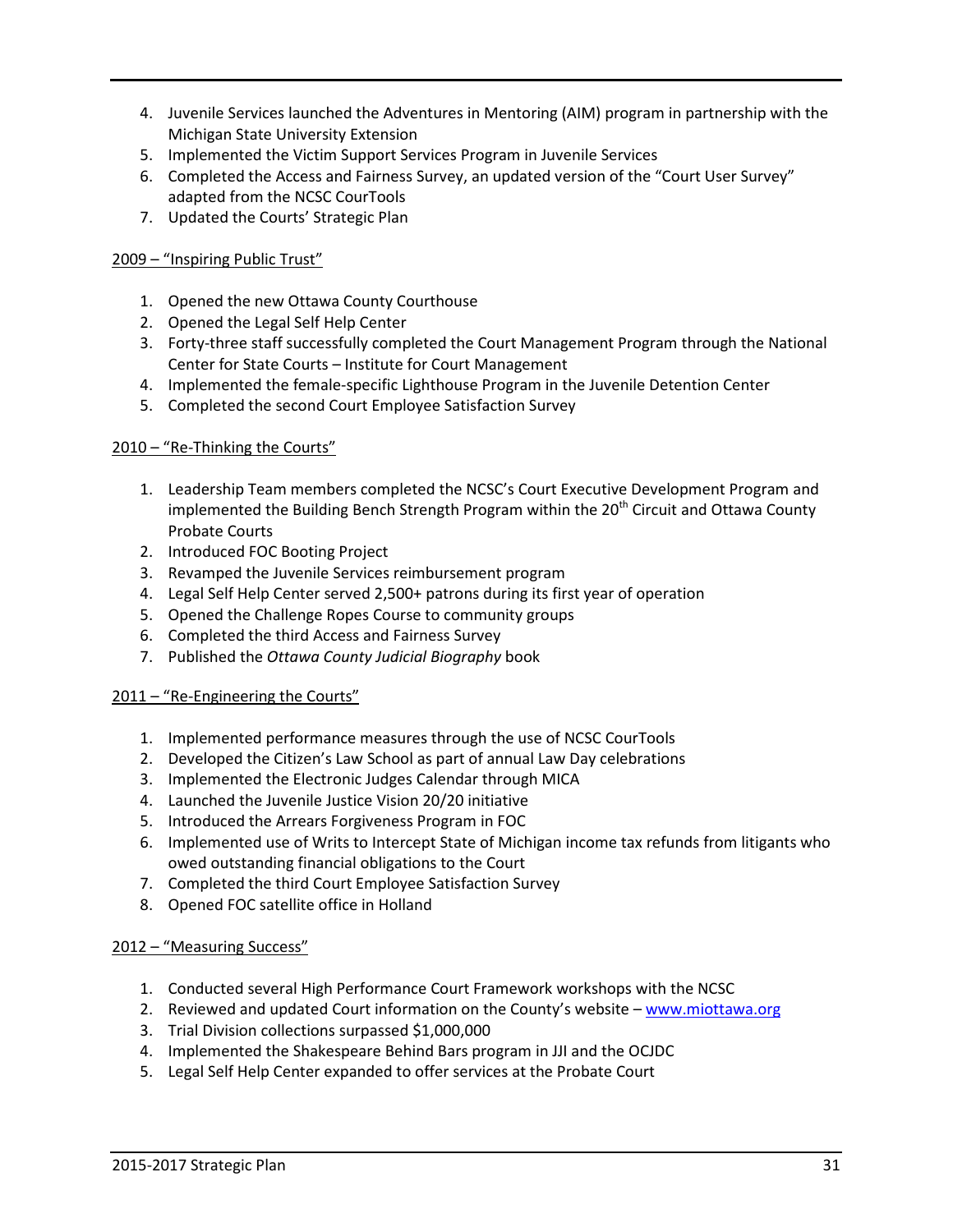- 4. Juvenile Services launched the Adventures in Mentoring (AIM) program in partnership with the Michigan State University Extension
- 5. Implemented the Victim Support Services Program in Juvenile Services
- 6. Completed the Access and Fairness Survey, an updated version of the "Court User Survey" adapted from the NCSC CourTools
- 7. Updated the Courts' Strategic Plan

#### 2009 – "Inspiring Public Trust"

- 1. Opened the new Ottawa County Courthouse
- 2. Opened the Legal Self Help Center
- 3. Forty-three staff successfully completed the Court Management Program through the National Center for State Courts – Institute for Court Management
- 4. Implemented the female-specific Lighthouse Program in the Juvenile Detention Center
- 5. Completed the second Court Employee Satisfaction Survey

#### 2010 – "Re-Thinking the Courts"

- 1. Leadership Team members completed the NCSC's Court Executive Development Program and implemented the Building Bench Strength Program within the 20<sup>th</sup> Circuit and Ottawa County Probate Courts
- 2. Introduced FOC Booting Project
- 3. Revamped the Juvenile Services reimbursement program
- 4. Legal Self Help Center served 2,500+ patrons during its first year of operation
- 5. Opened the Challenge Ropes Course to community groups
- 6. Completed the third Access and Fairness Survey
- 7. Published the *Ottawa County Judicial Biography* book

#### 2011 – "Re-Engineering the Courts"

- 1. Implemented performance measures through the use of NCSC CourTools
- 2. Developed the Citizen's Law School as part of annual Law Day celebrations
- 3. Implemented the Electronic Judges Calendar through MICA
- 4. Launched the Juvenile Justice Vision 20/20 initiative
- 5. Introduced the Arrears Forgiveness Program in FOC
- 6. Implemented use of Writs to Intercept State of Michigan income tax refunds from litigants who owed outstanding financial obligations to the Court
- 7. Completed the third Court Employee Satisfaction Survey
- 8. Opened FOC satellite office in Holland

#### 2012 – "Measuring Success"

- 1. Conducted several High Performance Court Framework workshops with the NCSC
- 2. Reviewed and updated Court information on the County's website www.miottawa.org
- 3. Trial Division collections surpassed \$1,000,000
- 4. Implemented the Shakespeare Behind Bars program in JJI and the OCJDC
- 5. Legal Self Help Center expanded to offer services at the Probate Court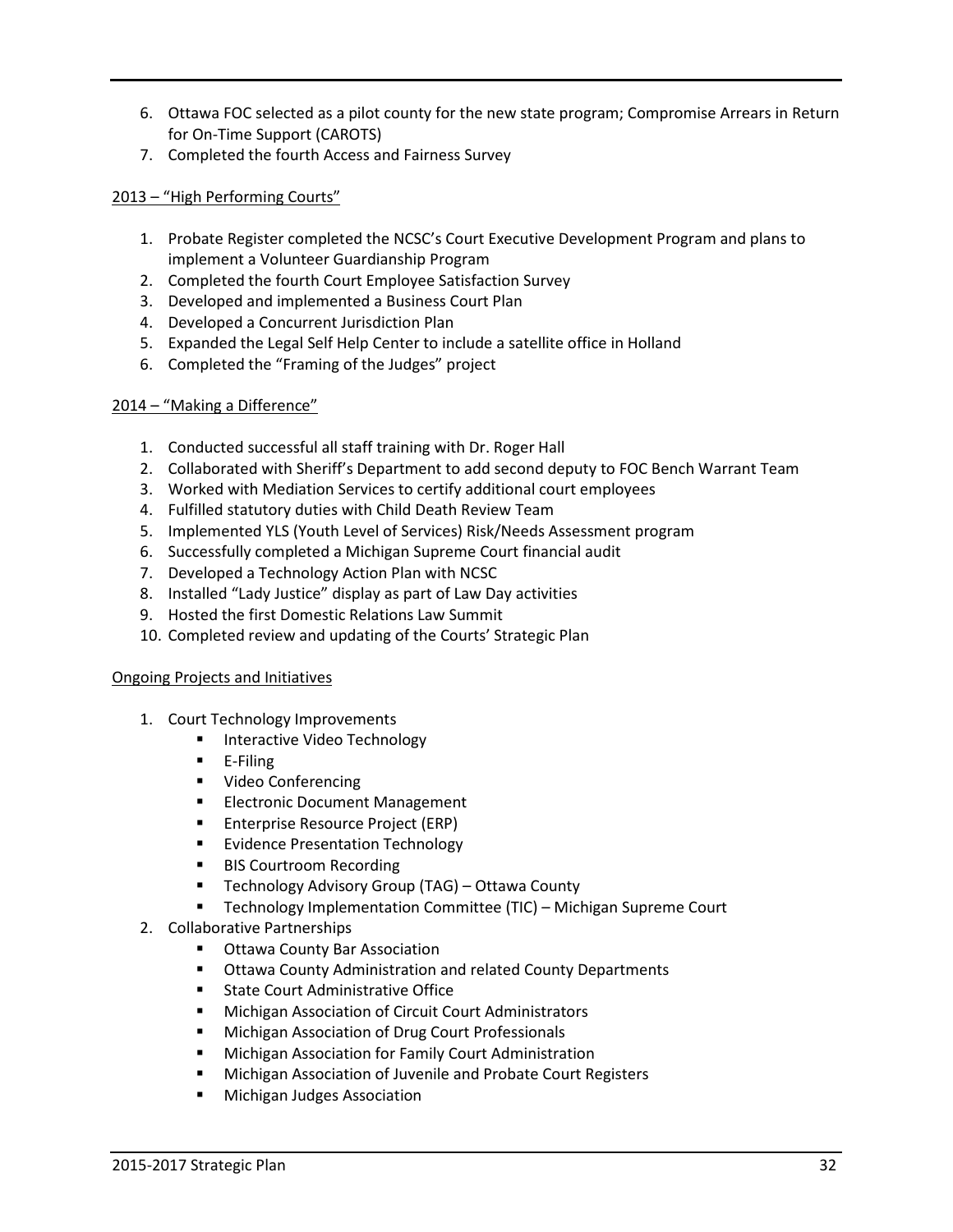- 6. Ottawa FOC selected as a pilot county for the new state program; Compromise Arrears in Return for On-Time Support (CAROTS)
- 7. Completed the fourth Access and Fairness Survey

#### 2013 – "High Performing Courts"

- 1. Probate Register completed the NCSC's Court Executive Development Program and plans to implement a Volunteer Guardianship Program
- 2. Completed the fourth Court Employee Satisfaction Survey
- 3. Developed and implemented a Business Court Plan
- 4. Developed a Concurrent Jurisdiction Plan
- 5. Expanded the Legal Self Help Center to include a satellite office in Holland
- 6. Completed the "Framing of the Judges" project

#### 2014 – "Making a Difference"

- 1. Conducted successful all staff training with Dr. Roger Hall
- 2. Collaborated with Sheriff's Department to add second deputy to FOC Bench Warrant Team
- 3. Worked with Mediation Services to certify additional court employees
- 4. Fulfilled statutory duties with Child Death Review Team
- 5. Implemented YLS (Youth Level of Services) Risk/Needs Assessment program
- 6. Successfully completed a Michigan Supreme Court financial audit
- 7. Developed a Technology Action Plan with NCSC
- 8. Installed "Lady Justice" display as part of Law Day activities
- 9. Hosted the first Domestic Relations Law Summit
- 10. Completed review and updating of the Courts' Strategic Plan

#### Ongoing Projects and Initiatives

- 1. Court Technology Improvements
	- Interactive Video Technology
	- **E-Filing**
	- **•** Video Conferencing
	- **Electronic Document Management**
	- **Enterprise Resource Project (ERP)**
	- **Evidence Presentation Technology**
	- **BIS Courtroom Recording**
	- Technology Advisory Group (TAG) Ottawa County
	- Technology Implementation Committee (TIC) Michigan Supreme Court
- 2. Collaborative Partnerships
	- **Ottawa County Bar Association**
	- **ULTA** Ottawa County Administration and related County Departments
	- **EXEC** State Court Administrative Office
	- **Michigan Association of Circuit Court Administrators**
	- **Michigan Association of Drug Court Professionals**
	- **E** Michigan Association for Family Court Administration
	- **Michigan Association of Juvenile and Probate Court Registers**
	- **Nichigan Judges Association**